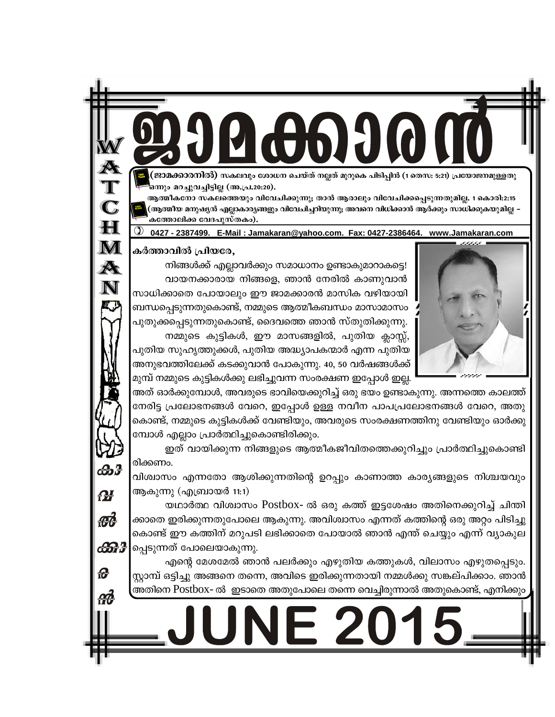ജാമക്കാരനിൽ) സകലവും ശോധന ചെയ്ത് നല്ലത് മുറുകെ പിടിപ്പിൻ (1 തെസ: 5:21) പ്രയോജനമുള്ളതു ഒനും മറച്ചുവച്ചിട്ടില്ല (അ.പ്ര.20:20).

ആത്മീകനോ സകലത്തെയും വിവേചിക്കുന്നു; താൻ ആരാലും വിവേചിക്കപ്പെടുന്നതുമില്ല. 1 കൊരി:2:15 .<br>പ്രതൃത്മീയ മനുഷ്യൻ എല്ലാകാര്യങ്ങളും വിവേചിച്ചറിയുന്നു; അവനെ വിധിക്കാൻ ആർക്കും സാധിക്കുകയുമില്ല കത്തോലിക്ക വേദപുസ്തകം).

0427 - 2387499. E-Mail: Jamakaran@yahoo.com. Fax: 0427-2386464. www.Jamakaran.com

കർത്താവിൽ പ്രിയരേ,

നിങ്ങൾക്ക് എല്ലാവർക്കും സമാധാനം ഉണ്ടാകുമാറാകട്ടെ! വായനക്കാരായ നിങ്ങളെ, ഞാൻ നേരിൽ കാണുവാൻ സാധിക്കാതെ പോയാലും ഈ ജാമക്കാരൻ മാസിക വഴിയായി ബന്ധപ്പെടുന്നതുകൊണ്ട്, നമ്മുടെ ആത്മീകബന്ധം മാസാമാസം പുതുക്കപ്പെടുന്നതുകൊണ്ട്, ദൈവത്തെ ഞാൻ സ്തുതിക്കുന്നു.

നമ്മുടെ കുട്ടികൾ, ഈ മാസങ്ങളിൽ, പുതിയ ക്ലാസ്സ്, പുതിയ സുഹൃത്തുക്കൾ, പുതിയ അദ്ധ്യാപകന്മാർ എന്ന പുതിയ അനുഭവത്തിലേക്ക് കടക്കുവാൻ പോകുന്നു. 40, 50 വർഷങ്ങൾക്ക് മുമ്പ് നമ്മുടെ കുട്ടികൾക്കു ലഭിച്ചുവന്ന സംരക്ഷണ ഇപ്പോൾ ഇല്ല.

അത് ഓർക്കുമ്പോൾ, അവരുടെ ഭാവിയെക്കുറിച്ച് ഒരു ഭയം ഉണ്ടാകുന്നു. അന്നത്തെ കാലത്ത് നേരിട്ട പ്രലോഭനങ്ങൾ വേറെ, ഇപ്പോൾ ഉള്ള നവീന പാപപ്രലോഭനങ്ങൾ വേറെ, അതു കൊണ്ട്, നമ്മുടെ കുട്ടികൾക്ക് വേണ്ടിയും, അവരുടെ സംരക്ഷണത്തിനു വേണ്ടിയും ഓർക്കു മ്പോൾ എല്ലാം പ്രാർത്ഥിച്ചുകൊണ്ടിരിക്കും.

ഇത് വായിക്കുന്ന നിങ്ങളുടെ ആത്മീകജീവിതത്തെക്കുറിച്ചും പ്രാർത്ഥിച്ചുകൊണ്ടി രിക്കണം.

വിശ്വാസം എന്നതോ ആശിക്കുന്നതിന്റെ ഉറപ്പും കാണാത്ത കാര്യങ്ങളുടെ നിശ്ചയവും ആകുന്നു (എബ്രായർ 11:1)

യഥാർത്ഥ വിശ്വാസം Postbox- ൽ ഒരു കത്ത് ഇട്ടശേഷം അതിനെക്കുറിച്ച് ചിന്തി ക്കാതെ ഇരിക്കുന്നതുപോലെ ആകുന്നു. അവിശ്വാസം എന്നത് കത്തിന്റെ ഒരു <mark>അറ്റം പിടിച്ചു</mark> കൊണ്ട് ഈ കത്തിന് മറുപടി ലഭിക്കാതെ പോയാൽ ഞാൻ എന്ത് ചെയ്യും എന്ന് വ്യാകുല പ്പെടുന്നത് പോലെയാകുന്നു.

എന്റെ മേശമേൽ ഞാൻ പലർക്കും എഴുതിയ കത്തുകൾ, വിലാസം എഴുതപ്പെടും. സ്റ്റാമ്പ് ഒട്ടിച്ചു അങ്ങനെ തന്നെ, അവിടെ ഇരിക്കുന്നതായി നമ്മൾക്കു സങ്കല്പിക്കാം. ഞാൻ അതിനെ Postbox- ൽ ഇടാതെ അതുപോലെ തന്നെ വെച്ചിരുന്നാൽ അതുകൊണ്ട്, എനിക്കും

 $= 2$ 





ക്കു

H

 $\mathbf M$ 

 $\boldsymbol{\mathbb{A}}$ 

 $\mathbf N$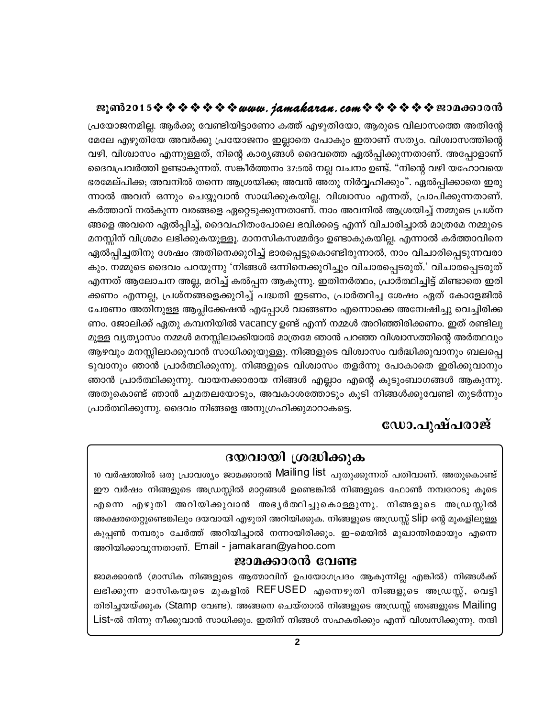പ്രയോജനമില്ല. ആർക്കു വേണ്ടിയിട്ടാണോ കത്ത് എഴുതിയോ, ആരുടെ വിലാസത്തെ അതിന്റേ മേലേ എഴുതിയേ അവർക്കു പ്രയോജനം ഇല്ലാതെ പോകും ഇതാണ് സത്യം. വിശ്വാസത്തിന്റെ വഴി, വിശ്വാസം എന്നുള്ളത്, നിന്റെ കാര്യങ്ങൾ ദൈവത്തെ ഏൽപ്പിക്കുന്നതാണ്. അപ്പോളാണ് ദൈവപ്രവർത്തി ഉണ്ടാകുന്നത്. സങ്കീർത്തനം 37:5ൽ നല്ല വചനം ഉണ്ട്. "നിന്റെ വഴി യഹോവയെ ഭരമേല്പിക്ക; അവനിൽ തന്നെ ആശ്രയിക്ക; അവൻ അതു നിർവ്വഹിക്കും". ഏൽപ്പിക്കാതെ ഇരു ന്നാൽ അവന് ഒന്നും ചെയ്യുവാൻ സാധിക്കുകയില്ല. വിശ്വാസം എന്നത്, പ്രാപിക്കുന്നതാണ്. കർത്താവ് നൽകുന്ന വരങ്ങളെ ഏറ്റെടുക്കുന്നതാണ്. നാം അവനിൽ ആശ്രയിച്ച് നമ്മുടെ പ്രശ്ന ങ്ങളെ അവനെ ഏൽപ്പിച്ച്, ദൈവഹിതംപോലെ ഭവിക്കട്ടെ എന്ന് വിചാരിച്ചാൽ മാത്രമേ നമ്മുടെ മനസ്സിന് വിശ്രമം ലഭിക്കുകയുള്ളൂ. മാനസികസമ്മർദ്ദം ഉണ്ടാകുകയില്ല. എന്നാൽ കർത്താവിനെ ഏൽപ്പിച്ചതിനു ശേഷം അതിനെക്കുറിച്ച് ഭാരപ്പെട്ടുകൊണ്ടിരുന്നാൽ, നാം വിചാരിപ്പെടുന്നവരാ കും. നമ്മുടെ ദൈവം പറയുന്നു 'നിങ്ങൾ ഒന്നിനെക്കുറിച്ചും വിചാരപ്പെടരുത്.' വിചാരപ്പെടരുത് എന്നത് ആലോചന അല്ല, മറിച്ച് കൽപ്പന ആകുന്നു. ഇതിനർത്ഥം, പ്രാർത്ഥിച്ചിട്ട് മിണ്ടാതെ ഇരി ക്കണം എന്നല്ല, പ്രശ്നങ്ങളെക്കുറിച്ച് പദ്ധതി ഇടണം, പ്രാർത്ഥിച്ച ശേഷം ഏത് കോളേജിൽ ചേരണം അതിനുള്ള ആപ്ലിക്കേഷൻ എപ്പോൾ വാങ്ങണം എന്നൊക്കെ അന്വേഷിച്ചു വെച്ചിരിക്ക ണം. ജോലിക്ക് ഏതു കമ്പനിയിൽ vacancy ഉണ്ട് എന്ന് നമ്മൾ അറിഞ്ഞിരിക്കണം. ഇത് രണ്ടിലു മുള്ള വൃത്യാസം നമ്മൾ മനസ്സിലാക്കിയാൽ മാത്രമേ ഞാൻ പറഞ്ഞ വിശ്വാസത്തിന്റെ അർത്ഥവും ആഴവും മനസ്സിലാക്കുവാൻ സാധിക്കുയുള്ളൂ. നിങ്ങളുടെ വിശ്വാസം വർദ്ധിക്കുവാനും ബലപ്പെ ടുവാനും ഞാൻ പ്രാർത്ഥിക്കുന്നു. നിങ്ങളുടെ വിശ്വാസം തളർന്നു പോകാതെ ഇരിക്കുവാനും ഞാൻ പ്രാർത്ഥിക്കുന്നു. വായനക്കാരായ നിങ്ങൾ എല്ലാം എന്റെ കുടുംബാഗങ്ങൾ ആകുന്നു. അതുകൊണ്ട് ഞാൻ ചുമതലയോടും, അവകാശത്തോടും കൂടി നിങ്ങൾക്കുവേണ്ടി തുടർന്നും പ്രാർത്ഥിക്കുന്നു. ദൈവം നിങ്ങളെ അനുഗ്രഹിക്കുമാറാകട്ടെ.

# ഡോ.പുഷ്പരാജ്

# ദയവായി ശ്രദ്ധിക്കുക

10 വർഷത്തിൽ ഒരു പ്രാവശ്യം ജാമക്കാരൻ Mailing list <sub>പുതുക്കു</sub>ന്നത് പതിവാണ്. അതുകൊണ്ട് ഈ വർഷം നിങ്ങളുടെ അഡ്രസ്സിൽ മാറ്റങ്ങൾ ഉണ്ടെങ്കിൽ നിങ്ങളുടെ ഫോൺ നമ്പറോടു കൂടെ എന്നെ എഴുതി അറിയിക്കുവാൻ അഭൃർത്ഥിച്ചുകൊള്ളുന്നു. നിങ്ങളുടെ അഡ്രസ്സിൽ അക്ഷരതെറ്റുണ്ടെങ്കിലും ദയവായി എഴുതി അറിയിക്കുക. നിങ്ങളുടെ അഡ്രസ്സ് Slip ന്റെ മുകളിലുള്ള കൂപ്പൺ നമ്പരും ചേർത്ത് അറിയിച്ചാൽ നന്നായിരിക്കും. ഇ-മെയിൽ മുഖാന്തിരമായും എന്നെ അറിയിക്കാവുന്നതാണ്. Email - jamakaran@yahoo.com

# ജാമക്കാരൻ വേണ്ട

ജാമക്കാരൻ (മാസിക നിങ്ങളുടെ ആത്മാവിന് ഉപയോഗപ്രദം ആകുന്നില്ല എങ്കിൽ) നിങ്ങൾക്ക് ലഭിക്കുന്ന മാസികയുടെ മുകളിൽ REFUSED എന്നെഴുതി നിങ്ങളുടെ അഡ്രസ്സ്, വെട്ടി തിരിച്ചയയ്ക്കുക (Stamp വേണ്ട). അങ്ങനെ ചെയ്താൽ നിങ്ങളുടെ അഡ്രസ്സ് ഞങ്ങളുടെ Mailing List-ൽ നിന്നു നീക്കുവാൻ സാധിക്കും. ഇതിന് നിങ്ങൾ സഹകരിക്കും എന്ന് വിശ്വസിക്കുന്നു. നന്ദി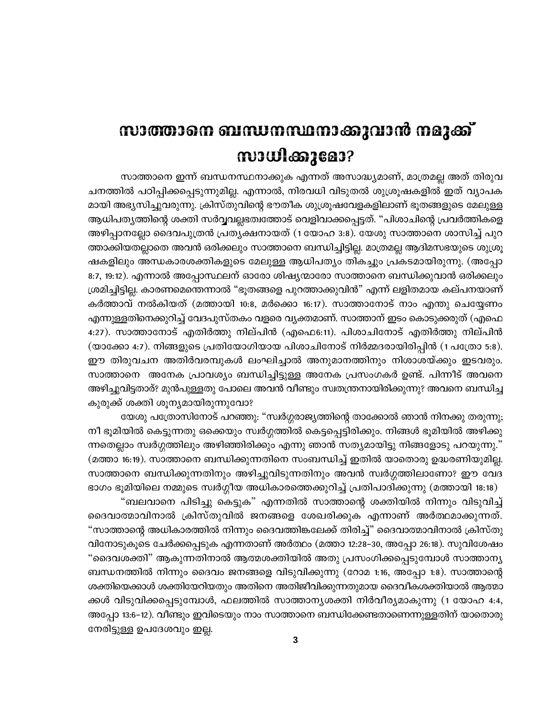# സാത്താനെ ബന്ധനസ്ഥനാക്കുവാൻ നമുക്ക്  $m$

സാത്താനെ ഇന്ന് ബന്ധനസ്ഥനാക്കുക എന്നത് അസാദ്ധ്യമാണ്, മാത്രമല്ല അത് തിരുവ ചനത്തിൽ പഠിപ്പിക്കപ്പെടുന്നുമില്ല. എന്നാൽ, നിരവധി വിടുതൽ ശുശ്രൂഷകളിൽ ഇത് വ്യാപക മായി അഭ്യസിച്ചുവരുന്നു. ക്രിസ്തുവിന്റെ ഭൗതീക ശുശ്രൂഷവേളകളിലാണ് ഭൂതങ്ങളുടെ മേലുള്ള ആധിപതൃത്തിന്റെ ശക്തി സർവ്വവല്ലഭത്വത്തോട് വെളിവാക്കപ്പെട്ടത്. "പിശാചിന്റെ പ്രവർത്തികളെ അഴിപ്പാനല്ലോ ദൈവപുത്രൻ പ്രതൃക്ഷനായത് (1 യോഹ 3:8). യേശു സാത്താനെ ശാസിച്ച് പുറ ത്താക്കിയതല്ലാതെ അവൻ ഒരിക്കലും സാത്താനെ ബന്ധിച്ചിട്ടില്ല. മാത്രമല്ല ആദിമസഭയുടെ ശുശ്രൂ ഷകളിലും അന്ധകാരശക്തികളുടെ മേലുള്ള ആധിപത്യം തികച്ചും പ്രകടമായിരുന്നു. (അപ്പോ 8:7, 19:12). എന്നാൽ അപ്പോസ്ഥലന് ഓരോ ശിഷ്യന്മാരോ സാത്താനെ ബന്ധിക്കുവാൻ ഒരിക്കലും ശ്രമിച്ചിട്ടില്ല. കാരണമെന്തെന്നാൽ "ഭൂതങ്ങളെ പുറത്താക്കുവിൻ" എന്ന് ലളിതമായ കല്പനയാണ് കർത്താവ് നൽകിയത് (മത്തായി 10:8, മർക്കൊ 16:17). സാത്താനോട് നാം എന്തു ചെയ്യേണം എന്നുള്ളതിനെക്കുറിച്ച് വേദപുസ്തകം വളരെ വ്യക്തമാണ്. സാത്താന് ഇടം കൊടുക്കരുത് (എഫെ 4:27). സാത്താനോട് എതിർത്തു നില്പിൻ (എഫെ6:11). പിശാചിനോട് എതിർത്തു നില്പിൻ (യാക്കോ 4:7). നിങ്ങളുടെ പ്രതിയോഗിയായ പിശാചിനോട് നിർമ്മദരായിരിപ്പിൻ (1 പത്രോ 5:8). ഈ തിരുവചന അതിർവരമ്പുകൾ ലംഘിച്ചാൽ അനുമാനത്തിനും നിശാശയ്ക്കും ഇടവരും. സാത്താനെ അനേക പ്രാവശ്യം ബന്ധിച്ചിട്ടുള്ള അനേക പ്രസംഗകർ ഉണ്ട്. പിന്നീട് അവനെ അഴിച്ചുവിട്ടതാര്? മുൻപുള്ളതു പോലെ അവൻ വീണ്ടും സ്വതന്ത്രനായിരിക്കുന്നു? അവനെ ബന്ധിച്ച കുരുക്ക് ശക്തി ശൂന്യമായിരുന്നുവോ?

യേശു പത്രോസിനോട് പറഞ്ഞു: "സ്വർഗ്ഗരാജ്യത്തിന്റെ താക്കോൽ ഞാൻ നിനക്കു തരുന്നു; നീ ഭൂമിയിൽ കെട്ടുന്നതു ഒക്കെയും സ്വർഗ്ഗത്തിൽ കെട്ടപ്പെട്ടിരിക്കും. നിങ്ങൾ ഭൂമിയിൽ അഴിക്കു ന്നതെല്ലാം സ്വർഗ്ഗത്തിലും അഴിഞ്ഞിരിക്കും എന്നു ഞാൻ സത്യമായിട്ടു നിങ്ങളോടു പറയുന്നു." (മത്താ 16:19). സാത്താനെ ബന്ധിക്കുന്നതിനെ സംബന്ധിച്ച് ഇതിൽ യാതൊരു ഉദ്ധരണിയുമില്ല. സാത്താനെ ബന്ധിക്കുന്നതിനും അഴിച്ചുവിടുന്നതിനും അവൻ സ്വർഗ്ഗത്തിലാണോ? ഈ വേദ ഭാഗം ഭൂമിയിലെ നമ്മുടെ സ്വർഗ്ഗീയ അധികാരത്തെക്കുറിച്ച് പ്രതിപാദിക്കുന്നു (മത്തായി 18:18)

"ബലവാനെ പിടിച്ചു കെട്ടുക" എന്നതിൽ സാത്താന്റെ ശക്തിയിൽ നിന്നും വിടുവിച്ച് ദൈവാത്മാവിനാൽ ക്രിസ്തുവിൽ ജനങ്ങളെ ശേഖരിക്കുക എന്നാണ് അർത്ഥമാക്കുന്നത്. "സാത്താന്റെ അധികാരത്തിൽ നിന്നും ദൈവത്തിങ്കലേക്ക് തിരിച്ച്" ദൈവാത്മാവിനാൽ ക്രിസ്തു വിനോടുകൂടെ ചേർക്കപ്പെടുക എന്നതാണ് അർത്ഥം (മത്താ 12:28–30, അപ്പോ 26:18). സുവിശേഷം "ദൈവശക്തി" ആകുന്നതിനാൽ ആത്മശക്തിയിൽ അതു പ്രസംഗിക്കപ്പെടുമ്പോൾ സാത്താനൃ ബന്ധനത്തിൽ നിന്നും ദൈവം ജനങ്ങളെ വിടുവിക്കുന്നു (റോമ 1:16, അപ്പോ 1:8). സാത്താന്റെ ശക്തിയെക്കാൾ ശക്തിയേറിയതും അതിനെ അതിജീവിക്കുന്നതുമായ ദൈവീകശക്തിയാൽ ആത്മാ ക്കൾ വിടുവിക്കപ്പെടുമ്പോൾ, ഫലത്തിൽ സാത്താന്യശക്തി നിർവീര്യമാകുന്നു (1 യോഹ 4:4, അപ്പോ 13:6–12). വീണ്ടും ഇവിടെയും നാം സാത്താനെ ബന്ധിക്കേണ്ടതാണെന്നുള്ളതിന് യാതൊരു നേരിട്ടുള്ള ഉപദേശവും ഇല്ല.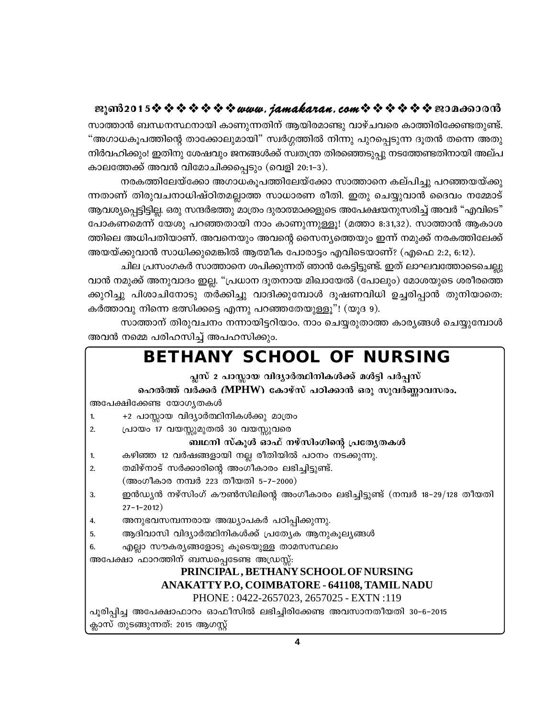സാത്താൻ ബന്ധനസ്ഥനായി കാണുന്നതിന് ആയിരമാണ്ടു വാഴ്ചവരെ കാത്തിരിക്കേണ്ടതുണ്ട്. "അഗാധകൂപത്തിന്റെ താക്കോലുമായി" സ്വർഗ്ഗത്തിൽ നിന്നു പുറപ്പെടുന്ന ദൂതൻ തന്നെ അതു നിർവഹിക്കും! ഇതിനു ശേഷവും ജനങ്ങൾക്ക് സ്വതന്ത്ര തിരഞ്ഞെടുപ്പു നടത്തേണ്ടതിനായി അല്പ കാലത്തേക്ക് അവൻ വിമോചിക്കപ്പെടും (വെളി 20:1-3).

നരകത്തിലേയ്ക്കോ അഗാധകൂപത്തിലേയ്ക്കോ സാത്താനെ കല്പിച്ചു പറഞ്ഞയയ്ക്കു ന്നതാണ് തിരുവചനാധിഷ്ഠിതമല്ലാത്ത സാധാരണ രീതി. ഇതു ചെയ്യുവാൻ ദൈവം നമ്മോട് ആവശ്യപ്പെട്ടിട്ടില്ല. ഒരു സന്ദർഭത്തു മാത്രം ദുരാത്മാക്കളുടെ അപേക്ഷയനുസരിച്ച് അവർ "എവിടെ" പോകണമെന്ന് യേശു പറഞ്ഞതായി നാം കാണുന്നുള്ളൂ! (മത്താ 8:31,32). സാത്താൻ ആകാശ ത്തിലെ അധിപതിയാണ്. അവനെയും അവന്റെ സൈന്യത്തെയും ഇന്ന് നമുക്ക് നരകത്തിലേക്ക് അയയ്ക്കുവാൻ സാധിക്കുമെങ്കിൽ ആത്മീക പോരാട്ടം എവിടെയാണ്? (എഫെ 2:2, 6:12).

ചില പ്രസംഗകർ സാത്താനെ ശപിക്കുന്നത് ഞാൻ കേട്ടിട്ടുണ്ട്. ഇത് ലാഘവത്തോടെചെല്ലു വാൻ നമുക്ക് അനുവാദം ഇല്ല. "പ്രധാന ദൂതനായ മിഖായേൽ (പോലും) മോശയുടെ ശരീരത്തെ ക്കുറിച്ചു പിശാചിനോടു തർക്കിച്ചു വാദിക്കുമ്പോൾ ദൂഷണവിധി ഉച്ചരിപ്പാൻ തുനിയാതെ: കർത്താവു നിന്നെ ഭത്സിക്കട്ടെ എന്നു പറഞ്ഞതേയുള്ളൂ"! (യൂദ 9).

സാത്താന് തിരുവചനം നന്നായിട്ടറിയാം. നാം ചെയ്യരുതാത്ത കാര്യങ്ങൾ ചെയ്യുമ്പോൾ അവൻ നമ്മെ പരിഹസിച്ച് അപഹസിക്കും.

|                                                                      | BETHANY SCHOOL OF NURSING                                                   |
|----------------------------------------------------------------------|-----------------------------------------------------------------------------|
|                                                                      | പ്ലസ് 2 പാസ്സായ വിദ്യാർത്ഥിനികൾക്ക് മൾട്ടി പർപ്പസ്                          |
|                                                                      | ഹെൽത്ത് വർക്കർ (MPHW) കോഴ്സ് പഠിക്കാൻ ഒരു സുവർണ്ണാവസരം.                     |
| അപേക്ഷിക്കേണ്ട യോഗൃതകൾ                                               |                                                                             |
| 1.                                                                   | +2 പാസ്സായ വിദ്യാർത്ഥിനികൾക്കു മാത്രം                                       |
| 2.                                                                   | പ്രായം 17 വയസ്സുമുതൽ 30 വയസ്സുവരെ                                           |
|                                                                      | ബഥനി സ്കൂൾ ഓഫ് നഴ്സിംഗിന്റെ പ്രത്യേതകൾ                                      |
| 1.                                                                   | കഴിഞ്ഞ 12 വർഷങ്ങളായി നല്ല രീതിയിൽ പഠനം നടക്കുന്നു.                          |
| 2.                                                                   | തമിഴ്നാട് സർക്കാരിന്റെ അംഗീകാരം ലഭിച്ചിട്ടുണ്ട്.                            |
|                                                                      | (അംഗീകാര നമ്പർ 223 തീയതി 5-7-2000)                                          |
| 3.                                                                   | ഇൻഡ്യൻ നഴ്സിംഗ് കൗൺസിലിന്റെ അംഗീകാരം ലഭിച്ചിട്ടുണ്ട് (നമ്പർ 18–29/128 തീയതി |
|                                                                      | $27 - 1 - 2012$ )                                                           |
| 4.                                                                   | അനുഭവസമ്പന്നരായ അദ്ധ്യാപകർ പഠിപ്പിക്കുന്നു.                                 |
| 5.                                                                   | ആദിവാസി വിദ്യാർത്ഥിനികൾക്ക് പ്രത്യേക ആനുകൂല്യങ്ങൾ                           |
| 6.                                                                   | എല്ലാ സൗകര്യങ്ങളോടു കൂടെയുള്ള താമസസ്ഥലം                                     |
| അപേക്ഷാ ഫാറത്തിന് ബന്ധപ്പെടേണ്ട അഡ്രസ്സ്:                            |                                                                             |
|                                                                      | PRINCIPAL, BETHANY SCHOOL OF NURSING                                        |
| ANAKATTY P.O, COIMBATORE - 641108, TAMIL NADU                        |                                                                             |
|                                                                      | PHONE: 0422-2657023, 2657025 - EXTN:119                                     |
| പൂരിപ്പിച്ച അപേക്ഷാഫാറം ഓഫീസിൽ ലഭിച്ചിരിക്കേണ്ട അവസാനതീയതി 30-6-2015 |                                                                             |
| ക്ലാസ് തുടങ്ങുന്നത്: 2015 ആഗസ്റ്റ്                                   |                                                                             |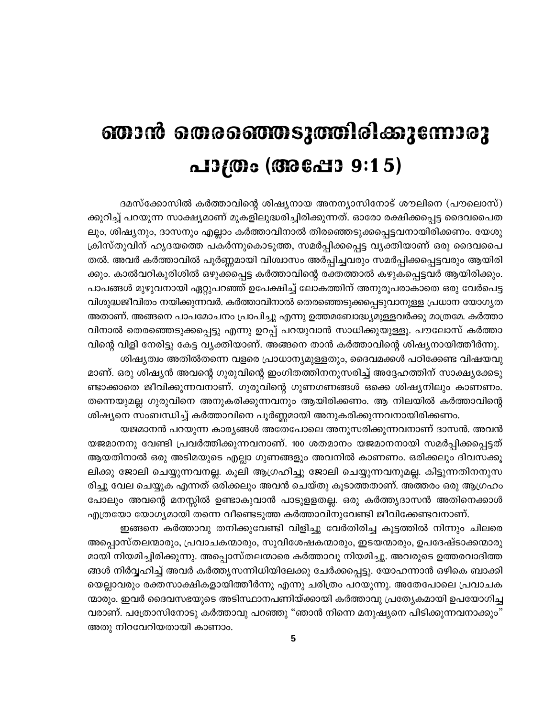# ഞാൻ തെരഞ്ഞെടുത്തിരിക്കുന്നോരു പാത്രം (അപ്പോ 9:15)

ദമസ്ക്കോസിൽ കർത്താവിന്റെ ശിഷ്യനായ അനന്യാസിനോട് ശൗലിനെ (പൗലൊസ്) ക്കുറിച്ച് പറയുന്ന സാക്ഷ്യമാണ് മുകളിലുദ്ധരിച്ചിരിക്കുന്നത്. ഓരോ രക്ഷിക്കപ്പെട്ട ദൈവപൈത ലും, ശിഷ്യനും, ദാസനും എല്ലാം കർത്താവിനാൽ തിരഞ്ഞെടുക്കപ്പെട്ടവനായിരിക്കണം. യേശു ക്രിസ്തുവിന് ഹൃദയത്തെ പകർന്നുകൊടുത്ത, സമർപ്പിക്കപ്പെട്ട വൃക്തിയാണ് ഒരു ദൈവപൈ തൽ. അവർ കർത്താവിൽ പൂർണ്ണമായി വിശ്വാസം അർപ്പിച്ചവരും സമർപ്പിക്കപ്പെട്ടവരും ആയിരി ക്കും. കാൽവറികുരിശിൽ ഒഴുക്കപ്പെട്ട കർത്താവിന്റെ രക്തത്താൽ കഴുകപ്പെട്ടവർ ആയിരിക്കും. പാപങ്ങൾ മുഴുവനായി ഏറ്റുപറഞ്ഞ് ഉപേക്ഷിച്ച് ലോകത്തിന് അനുരൂപരാകാതെ ഒരു വേർപെട്ട വിശുദ്ധജീവിതം നയിക്കുന്നവർ. കർത്താവിനാൽ തെരഞ്ഞെടുക്കപ്പെടുവാനുള്ള പ്രധാന യോഗൃത അതാണ്. അങ്ങനെ പാപമോചനം പ്രാപിച്ചു എന്നു ഉത്തമബോദ്ധ്യമുള്ളവർക്കു മാത്രമേ. കർത്താ വിനാൽ തെരഞ്ഞെടുക്കപ്പെട്ടു എന്നു ഉറപ്പ് പറയുവാൻ സാധിക്കുയുള്ളൂ. പൗലോസ് കർത്താ വിന്റെ വിളി നേരിട്ടു കേട്ട വ്യക്തിയാണ്. അങ്ങനെ താൻ കർത്താവിന്റെ ശിഷ്യനായിത്തീർന്നു.

ശിഷ്യത്വം അതിൽതന്നെ വളരെ പ്രാധാന്യമുള്ളതും, ദൈവമക്കൾ പഠിക്കേണ്ട വിഷയവു മാണ്. ഒരു ശിഷ്യൻ അവന്റെ ഗുരുവിന്റെ ഇംഗിതത്തിനനുസരിച്ച് അദ്ദേഹത്തിന് സാക്ഷ്യക്കേടു ണ്ടാക്കാതെ ജീവിക്കുന്നവനാണ്. ഗുരുവിന്റെ ഗുണഗണങ്ങൾ ഒക്കെ ശിഷ്യനിലും കാണണം. തന്നെയുമല്ല ഗുരുവിനെ അനുകരിക്കുന്നവനും ആയിരിക്കണം. ആ നിലയിൽ കർത്താവിന്റെ ശിഷ്യനെ സംബന്ധിച്ച് കർത്താവിനെ പൂർണ്ണമായി അനുകരിക്കുന്നവനായിരിക്കണം.

യജമാനൻ പറയുന്ന കാര്യങ്ങൾ അതേപോലെ അനുസരിക്കുന്നവനാണ് ദാസൻ. അവൻ യജമാനനു വേണ്ടി പ്രവർത്തിക്കുന്നവനാണ്. 100 ശതമാനം യജമാനനായി സമർപ്പിക്കപ്പെട്ടത് ആയതിനാൽ ഒരു അടിമയുടെ എല്ലാ ഗുണങ്ങളും അവനിൽ കാണണം. ഒരിക്കലും ദിവസക്കൂ ലിക്കു ജോലി ചെയ്യുന്നവനല്ല. കൂലി ആഗ്രഹിച്ചു ജോലി ചെയ്യുന്നവനുമല്ല. കിട്ടുന്നതിനനുസ രിച്ചു വേല ചെയ്യുക എന്നത് ഒരിക്കലും അവൻ ചെയ്തു കൂടാത്തതാണ്. അത്തരം ഒരു ആഗ്രഹം പോലും അവന്റെ മനസ്സിൽ ഉണ്ടാകുവാൻ പാടുളളതല്ല. ഒരു കർത്തൃദാസൻ അതിനെക്കാൾ എത്രയോ യോഗ്യമായി തന്നെ വീണ്ടെടുത്ത കർത്താവിനുവേണ്ടി ജീവിക്കേണ്ടവനാണ്.

ഇങ്ങനെ കർത്താവു തനിക്കുവേണ്ടി വിളിച്ചു വേർതിരിച്ച കൂട്ടത്തിൽ നിന്നും ചിലരെ അപ്പൊസ്തലന്മാരും, പ്രവാചകന്മാരും, സുവിശേഷകന്മാരും, ഇടയന്മാരും, ഉപദേഷ്ടാക്കന്മാരു മായി നിയമിച്ചിരിക്കുന്നു. അപ്പൊസ്തലന്മാരെ കർത്താവു നിയമിച്ചു. അവരുടെ ഉത്തരവാദിത്ത ങ്ങൾ നിർവ്വഹിച്ച് അവർ കർത്തൃസന്നിധിയിലേക്കു ചേർക്കപ്പെട്ടു. യോഹന്നാൻ ഒഴികെ ബാക്കി യെല്ലാവരും രക്തസാക്ഷികളായിത്തീർന്നു എന്നു ചരിത്രം പറയുന്നു. അതേപോലെ പ്രവാചക ന്മാരും. ഇവർ ദൈവസഭയുടെ അടിസ്ഥാനപണിയ്ക്കായി കർത്താവു പ്രത്യേകമായി ഉപയോഗിച്ച വരാണ്. പത്രോസിനോടു കർത്താവു പറഞ്ഞു "ഞാൻ നിന്നെ മനുഷ്യനെ പിടിക്കുന്നവനാക്കും' അതു നിറവേറിയതായി കാണാം.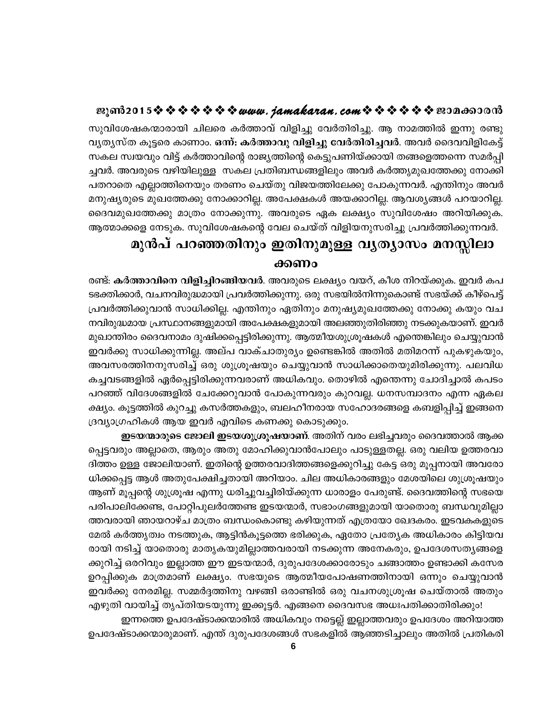സുവിശേഷകന്മാരായി ചിലരെ കർത്താവ് വിളിച്ചു വേർതിരിച്ചു. ആ നാമത്തിൽ ഇന്നു രണ്ടു വ്യത്യസ്ത കൂട്ടരെ കാണാം. ഒന്ന്: കർത്താവു വിളിച്ചു വേർതിരിച്ചവർ. അവർ ദൈവവിളികേട്ട് സകല സ്വയവും വിട്ട് കർത്താവിന്റെ രാജ്യത്തിന്റെ കെട്ടുപണിയ്ക്കായി തങ്ങളെത്തന്നെ സമർപ്പി ച്ചവർ. അവരുടെ വഴിയിലുള്ള സകല പ്രതിബന്ധങ്ങളിലും അവർ കർത്തൃമുഖത്തേക്കു നോക്കി പതറാതെ എല്ലാത്തിനെയും തരണം ചെയ്തു വിജയത്തിലേക്കു പോകുന്നവർ. എന്തിനും അവർ മനുഷ്യരുടെ മുഖത്തേക്കു നോക്കാറില്ല. അപേക്ഷകൾ അയക്കാറില്ല. ആവശ്യങ്ങൾ പറയാറില്ല. ദൈവമുഖത്തേക്കു മാത്രം നോക്കുന്നു. അവരുടെ ഏക ലക്ഷ്യം സുവിശേഷം അറിയിക്കുക. ആത്മാക്കളെ നേടുക. സുവിശേഷകന്റെ വേല ചെയ്ത് വിളിയനുസരിച്ചു പ്രവർത്തിക്കുന്നവർ.

# മുൻപ് പറഞ്ഞതിനും ഇതിനുമുള്ള വൃത്യാസം മനസ്സിലാ

### ക്കണം

രണ്ട്: <mark>കർത്താവിനെ വിളിച്ചിറങ്ങിയവർ</mark>. അവരുടെ ലക്ഷ്യം വയറ്, കീശ നിറയ്ക്കുക. ഇവർ കപ ടഭക്തിക്കാർ, വചനവിരുദ്ധമായി പ്രവർത്തിക്കുന്നു. ഒരു സഭയിൽനിന്നുകൊണ്ട് സഭയ്ക്ക് കീഴ്പെട്ട് പ്രവർത്തിക്കുവാൻ സാധിക്കില്ല. എന്തിനും ഏതിനും മനുഷ്യമുഖത്തേക്കു നോക്കു കയും വച നവിരുദ്ധമായ പ്രസ്ഥാനങ്ങളുമായി അപേക്ഷകളുമായി അലഞ്ഞുതിരിഞ്ഞു നടക്കുകയാണ്. ഇവർ മുഖാന്തിരം ദൈവനാമം ദുഷിക്കപ്പെട്ടിരിക്കുന്നു. ആത്മീയശുശ്രൂഷകൾ എന്തെങ്കിലും ചെയ്യുവാൻ ഇവർക്കു സാധിക്കുന്നില്ല. അല്പ വാക്ചാതുര്യം ഉണ്ടെങ്കിൽ അതിൽ മതിമറന്ന് പുകഴുകയും, അവസരത്തിനനുസരിച്ച് ഒരു ശുശ്രൂഷയും ചെയ്യുവാൻ സാധിക്കാതെയുമിരിക്കുന്നു. പലവിധ കച്ചവടങ്ങളിൽ ഏർപ്പെട്ടിരിക്കുന്നവരാണ് അധികവും. തൊഴിൽ എന്തെന്നു ചോദിച്ചാൽ കപടം പറഞ്ഞ് വിദേശങ്ങളിൽ ചേക്കേറുവാൻ പോകുന്നവരും കുറവല്ല. ധനസമ്പാദനം എന്ന ഏകല ക്ഷ്യം. കൂട്ടത്തിൽ കുറച്ചു കസർത്തകളും, ബലഹീനരായ സഹോദരങ്ങളെ കബളിപ്പിച്ച് ഇങ്ങനെ ദ്രവ്യാഗ്രഹികൾ ആയ ഇവർ എവിടെ കണക്കു കൊടുക്കും.

**ഇടയന്മാരുടെ ജോലി ഇടയശുശ്രൂഷയാണ്**. അതിന് വരം ലഭിച്ചവരും ദൈവത്താൽ ആക്ക പ്പെട്ടവരും അല്ലാതെ, ആരും അതു മോഹിക്കുവാൻപോലും പാടുള്ളതല്ല. ഒരു വലിയ ഉത്തരവാ ദിത്തം ഉള്ള ജോലിയാണ്. ഇതിന്റെ ഉത്തരവാദിത്തങ്ങളെക്കുറിച്ചു കേട്ട ഒരു മൂപ്പനായി അവരോ ധിക്കപ്പെട്ട ആൾ അതുപേക്ഷിച്ചതായി അറിയാം. ചില അധികാരങ്ങളും മേശയിലെ ശുശ്രൂഷയും ആണ് മൂപ്പന്റെ ശുശ്രൂഷ എന്നു ധരിച്ചുവച്ചിരിയ്ക്കുന്ന ധാരാളം പേരുണ്ട്. ദൈവത്തിന്റെ സഭയെ പരിപാലിക്കേണ്ട, പോറ്റിപുലർത്തേണ്ട ഇടയന്മാർ, സഭാംഗങ്ങളുമായി യാതൊരു ബന്ധവുമില്ലാ ത്തവരായി ഞായറാഴ്ച മാത്രം ബന്ധംകൊണ്ടു കഴിയുന്നത് എത്രയോ ഖേദകരം. ഇടവകകളുടെ മേൽ കർത്തൃത്വം നടത്തുക, ആട്ടിൻകൂട്ടത്തെ ഭരിക്കുക, ഏതോ പ്രത്യേക അധികാരം കിട്ടിയവ രായി നടിച്ച് യാതൊരു മാതൃകയുമില്ലാത്തവരായി നടക്കുന്ന അനേകരും, ഉപദേശസതൃങ്ങളെ ക്കുറിച്ച് ഒരറിവും ഇല്ലാത്ത ഈ ഇടയന്മാർ, ദുരുപദേശക്കാരോടും ചങ്ങാത്തം ഉണ്ടാക്കി കസേര ഉറപ്പിക്കുക മാത്രമാണ് ലക്ഷ്യം. സഭയുടെ ആത്മീയപോഷണത്തിനായി ഒന്നും ചെയ്യുവാൻ ഇവർക്കു നേരമില്ല. സമ്മർദ്ദത്തിനു വഴങ്ങി ഒരാണ്ടിൽ ഒരു വചനശുശ്രൂഷ ചെയ്താൽ അതും

എഴുതി വായിച്ച് തൃപ്തിയടയുന്നു ഇക്കൂട്ടർ. എങ്ങനെ ദൈവസഭ അധഃപതിക്കാതിരിക്കും! ഇന്നത്തെ ഉപദേഷ്ടാക്കന്മാരിൽ അധികവും നട്ടെല്ല് ഇല്ലാത്തവരും ഉപദേശം അറിയാത്ത ഉപദേഷ്ടാക്കന്മാരുമാണ്. എന്ത് ദുരുപദേശങ്ങൾ സഭകളിൽ ആഞ്ഞടിച്ചാലും അതിൽ പ്രതികരി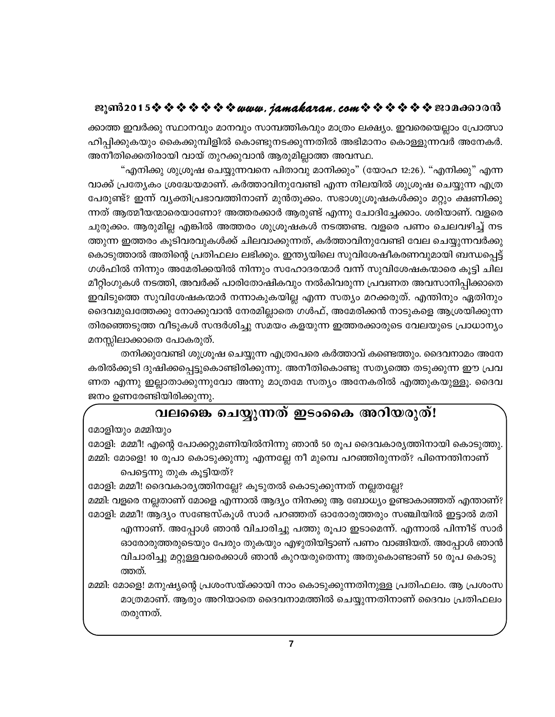ക്കാത്ത ഇവർക്കു സ്ഥാനവും മാനവും സാമ്പത്തികവും മാത്രം ലക്ഷ്യം. ഇവരെയെല്ലാം പ്രോത്സാ ഹിപ്പിക്കുകയും കൈക്കുമ്പിളിൽ കൊണ്ടുനടക്കുന്നതിൽ അഭിമാനം കൊള്ളുന്നവർ അനേകർ. അനീതിക്കെതിരായി വായ് തുറക്കുവാൻ ആരുമില്ലാത്ത അവസ്ഥ.

"എനിക്കു ശുശ്രൂഷ ചെയ്യുന്നവനെ പിതാവു മാനിക്കും" (യോഹ 12:26). "എനിക്കു" എന്ന വാക്ക് പ്രത്യേകം ശ്രദ്ധേയമാണ്. കർത്താവിനുവേണ്ടി എന്ന നിലയിൽ ശുശ്രൂഷ ചെയ്യുന്ന എത്ര പേരുണ്ട്? ഇന്ന് വ്യക്തിപ്രഭാവത്തിനാണ് മുൻതൂക്കം. സഭാശുശ്രൂഷകൾക്കും മറ്റും ക്ഷണിക്കു ന്നത് ആത്മീയന്മാരെയാണോ? അത്തരക്കാർ ആരുണ്ട് എന്നു ചോദിച്ചേക്കാം. ശരിയാണ്. വളരെ ചുരുക്കം. ആരുമില്ല എങ്കിൽ അത്തരം ശുശ്രൂഷകൾ നടത്തണ്ട. വളരെ പണം ചെലവഴിച്ച് നട ത്തുന്ന ഇത്തരം കൂടിവരവുകൾക്ക് ചിലവാക്കുന്നത്, കർത്താവിനുവേണ്ടി വേല ചെയ്യുന്നവർക്കു കൊടുത്താൽ അതിന്റെ പ്രതിഫലം ലഭിക്കും. ഇന്ത്യയിലെ സുവിശേഷീകരണവുമായി ബന്ധപ്പെട്ട് ഗൾഫിൽ നിന്നും അമേരിക്കയിൽ നിന്നും സഹോദരന്മാർ വന്ന് സുവിശേഷകന്മാരെ കൂട്ടി ചില മീറ്റിംഗുകൾ നടത്തി, അവർക്ക് പാരിതോഷികവും നൽകിവരുന്ന പ്രവണത അവസാനിപ്പിക്കാതെ ഇവിടുത്തെ സുവിശേഷകന്മാർ നന്നാകുകയില്ല എന്ന സത്യം മറക്കരുത്. എന്തിനും ഏതിനും ദൈവമുഖത്തേക്കു നോക്കുവാൻ നേരമില്ലാതെ ഗൾഫ്, അമേരിക്കൻ നാടുകളെ ആശ്രയിക്കുന്ന തിരഞ്ഞെടുത്ത വീടുകൾ സന്ദർശിച്ചു സമയം കളയുന്ന ഇത്തരക്കാരുടെ വേലയുടെ പ്രാധാന്യം മനസ്സിലാക്കാതെ പോകരുത്.

തനിക്കുവേണ്ടി ശുശ്രൂഷ ചെയ്യുന്ന എത്രപേരെ കർത്താവ് കണ്ടെത്തും. ദൈവനാമം അനേ കരിൽക്കൂടി ദുഷിക്കപ്പെട്ടുകൊണ്ടിരിക്കുന്നു. അനീതികൊണ്ടു സത്യത്തെ തടുക്കുന്ന ഈ പ്രവ ണത എന്നു ഇല്ലാതാക്കുന്നുവോ അന്നു മാത്രമേ സത്യം അനേകരിൽ എത്തുകയുള്ളൂ. ദൈവ ജനം ഉണരേണ്ടിയിരിക്കുന്നു.

# വലങൈ ചെയ്യുന്നത് ഇടംകൈ അറിയരുത്!

മോളിയും മമ്മിയും

മോളി: മമ്മീ! എന്റെ പോക്കറ്റുമണിയിൽനിന്നു ഞാൻ 50 രൂപ ദൈവകാര്യത്തിനായി കൊടുത്തു. മമ്മി: മോളെ! 10 രൂപാ കൊടുക്കുന്നു എന്നല്ലേ നീ മുമ്പെ പറഞ്ഞിരുന്നത്? പിന്നെന്തിനാണ്

പെട്ടെന്നു തുക കൂട്ടിയത്?

മോളി: മമ്മീ! ദൈവകാര്യത്തിനല്ലേ? കൂടുതൽ കൊടുക്കുന്നത് നല്ലതല്ലേ?

മമ്മി: വളരെ നല്ലതാണ് മോളെ എന്നാൽ ആദ്യം നിനക്കു ആ ബോധ്യം ഉണ്ടാകാഞ്ഞത് എന്താണ്? മോളി: മമ്മീ! ആദ്യം സണ്ടേസ്കൂൾ സാർ പറഞ്ഞത് ഓരോരുത്തരും സഞ്ചിയിൽ ഇട്ടാൽ മതി എന്നാണ്. അപ്പോൾ ഞാൻ വിചാരിച്ചു പത്തു രൂപാ ഇടാമെന്ന്. എന്നാൽ പിന്നീട് സാർ ഓരോരുത്തരുടെയും പേരും തുകയും എഴുതിയിട്ടാണ് പണം വാങ്ങിയത്. അപ്പോൾ ഞാൻ വിചാരിച്ചു മറ്റുള്ളവരെക്കാൾ ഞാൻ കുറയരുതെന്നു അതുകൊണ്ടാണ് 50 രൂപ കൊടു ത്തത്.

മമ്മി: മോളെ! മനുഷ്യന്റെ പ്രശംസയ്ക്കായി നാം കൊടുക്കുന്നതിനുള്ള പ്രതിഫലം. ആ പ്രശംസ മാത്രമാണ്. ആരും അറിയാതെ ദൈവനാമത്തിൽ ചെയ്യുന്നതിനാണ് ദൈവം പ്രതിഫലം തരുന്നത്.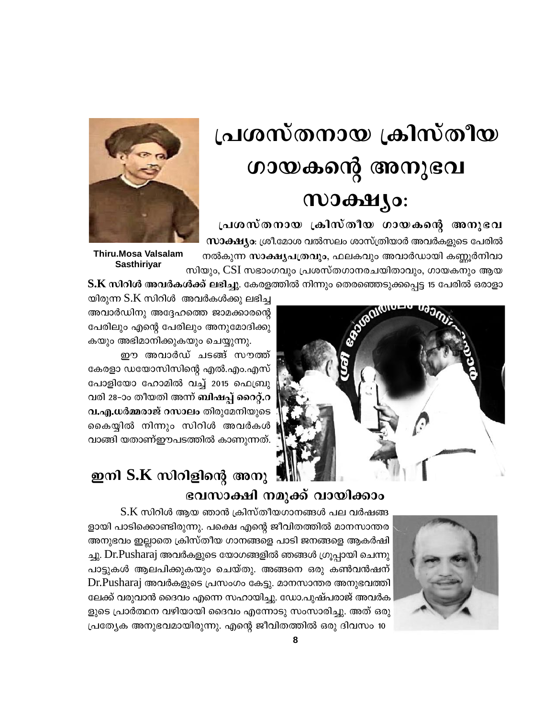# പ്രശസ്തനായ ക്രിസ്തീയ ഗായകന്റെ അനുഭവ  $1000$   $\frac{1}{2}$   $\frac{1}{2}$   $\frac{1}{2}$

പ്രശസ്തനായ ക്രിസ്തീയ ഗായകന്റെ അനുഭവ **സാക്ഷ്യം**: ശ്രീ.മോശ വൽസലം ശാസ്ത്രിയാർ അവർകളുടെ പേരിൽ നൽകുന്ന സാക്ഷ്യപത്രവും, ഫലകവും അവാർഡായി കണ്ണൂർനിവാ സിയും, CSI സഭാംഗവും പ്രശസ്തഗാനരചയിതാവും, ഗായകനും ആയ



**Thiru.Mosa Valsalam Sasthiriyar** 

 ${\bf S.K}$  സിറിൾ അവർകൾക്ക് ലഭിച്ചു. കേരളത്തിൽ നിന്നും തെരഞ്ഞെടുക്കപ്പെട്ട 15 പേരിൽ ഒരാളാ



യിരുന്ന  $S.K$  സിറിൾ അവർകൾക്കു ലഭിച്ച അവാർഡിനു അദ്ദേഹത്തെ ജാമക്കാരന്റെ പേരിലും എന്റെ പേരിലും അനുമോദിക്കു കയും അഭിമാനിക്കുകയും ചെയ്യുന്നു.

ഈ അവാർഡ് ചടങ്ങ് സൗത്ത് കേരളാ ഡയോസിസിന്റെ എൽ.എം.എസ് പോളിയോ ഹോമിൽ വച്ച് 2015 ഫെബ്രു വരി 28-ാം തീയതി അന്ന് ബിഷപ്പ് റൈറ്റ്.റ വ.എ.ധർമ്മരാജ് റസാലം തിരുമേനിയുടെ കൈയ്യിൽ നിന്നും സിറിൾ അവർകൾ വാങ്ങി യതാണ്ഈപടത്തിൽ കാണുന്നത്.

# ഇനി S.K സിറിളിന്റെ അനു ഭവസാക്ഷി നമുക്ക് വായിക്കാം



 $S.K$  സിറിൾ ആയ ഞാൻ ക്രിസ്തീയഗാനങ്ങൾ പല വർഷങ്ങ ളായി പാടിക്കൊണ്ടിരുന്നു. പക്ഷെ എന്റെ ജീവിതത്തിൽ മാനസാന്തര അനുഭവം ഇല്ലാതെ ക്രിസ്തീയ ഗാനങ്ങളെ പാടി ജനങ്ങളെ ആകർഷി ച്ചു. Dr.Pusharaj അവർകളുടെ യോഗങ്ങളിൽ ഞങ്ങൾ ഗ്രൂപ്പായി ചെന്നു പാട്ടുകൾ ആലപിക്കുകയും ചെയ്തു. അങ്ങനെ ഒരു കൺവൻഷന് Dr.Pusharaj അവർകളുടെ പ്രസംഗം കേട്ടു. മാനസാന്തര അനുഭവത്തി ലേക്ക് വരുവാൻ ദൈവം എന്നെ സഹായിച്ചു. ഡോ.പുഷ്പരാജ് അവർക ളുടെ പ്രാർത്ഥന വഴിയായി ദൈവം എന്നോടു സംസാരിച്ചു. അത് ഒരു പ്രത്യേക അനുഭവമായിരുന്നു. എന്റെ ജീവിതത്തിൽ ഒരു ദിവസം 10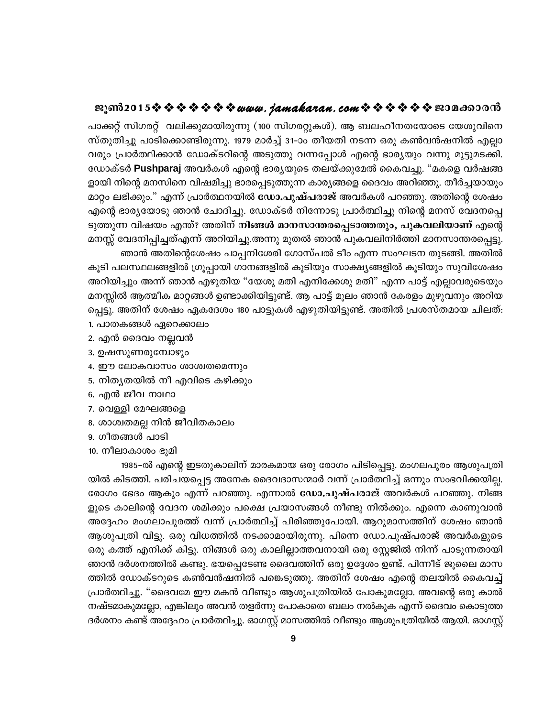പാക്കറ്റ് സിഗരറ്റ് വലിക്കുമായിരുന്നു (100 സിഗരറ്റുകൾ). ആ ബലഹീനതയോടെ യേശുവിനെ സ്തുതിച്ചു പാടിക്കൊണ്ടിരുന്നു. 1979 മാർച്ച് 31–ാം തീയതി നടന്ന ഒരു കൺവൻഷനിൽ എല്ലാ വരും പ്രാർത്ഥിക്കാൻ ഡോക്ടറിന്റെ അടുത്തു വന്നപ്പോൾ എന്റെ ഭാര്യയും വന്നു മുട്ടുമടക്കി. ഡോക്ടർ Pushparaj അവർകൾ എന്റെ ഭാര്യയുടെ തലയ്ക്കുമേൽ കൈവച്ചു. "മകളെ വർഷങ്ങ ളായി നിന്റെ മനസിനെ വിഷമിച്ചു ഭാരപ്പെടുത്തുന്ന കാര്യങ്ങളെ ദൈവം അറിഞ്ഞു. തീർച്ചയായും മാറ്റം ലഭിക്കും." എന്ന് പ്രാർത്ഥനയിൽ ഡോ.പുഷ്പരാജ് അവർകൾ പറഞ്ഞു. അതിന്റെ ശേഷം എന്റെ ഭാര്യയോടു ഞാൻ ചോദിച്ചു. ഡോക്ടർ നിന്നോടു പ്രാർത്ഥിച്ചു നിന്റെ മനസ് വേദനപ്പെ ടുത്തുന്ന വിഷയം എന്ത്? അതിന് നിങ്ങൾ മാനസാന്തരപ്പെടാത്തതും, പുകവലിയാണ് എന്റെ മനസ്സ് വേദനിപ്പിച്ചത്എന്ന് അറിയിച്ചു.അന്നു മുതൽ ഞാൻ പുകവലിനിർത്തി മാനസാന്തരപ്പെട്ടു.

ഞാൻ അതിന്റെശേഷം പാപ്പനിശേരി ഗോസ്പൽ ടീം എന്ന സംഘടന തുടങ്ങി. അതിൽ കൂടി പലസ്ഥലങ്ങളിൽ ഗ്രൂപ്പായി ഗാനങ്ങളിൽ കൂടിയും സാക്ഷ്യങ്ങളിൽ കൂടിയും സുവിശേഷം അറിയിച്ചും അന്ന് ഞാൻ എഴുതിയ "യേശു മതി എനിക്കേശു മതി" എന്ന പാട്ട് എല്ലാവരുടെയും മനസ്സിൽ ആത്മീക മാറ്റങ്ങൾ ഉണ്ടാക്കിയിട്ടുണ്ട്. ആ പാട്ട് മൂലം ഞാൻ കേരളം മുഴുവനും അറിയ പ്പെട്ടു. അതിന് ശേഷം ഏകദേശം 180 പാട്ടുകൾ എഴുതിയിട്ടുണ്ട്. അതിൽ പ്രശസ്തമായ ചിലത്:

- 1. പാതകങ്ങൾ ഏറെക്കാലം
- 2. എൻ ദൈവം നല്ലവൻ
- 3. ഉഷസുണരുമ്പോഴും
- 4. ഈ ലോകവാസം ശാശ്വതമെന്നും
- 5. നിതൃതയിൽ നീ എവിടെ കഴിക്കും
- 6. എൻ ജീവ നാഥാ
- 7. വെള്ളി മേഘങ്ങളെ
- 8. ശാശ്വതമല്ല നിൻ ജീവിതകാലം
- 9. ഗീതങ്ങൾ പാടി
- 10. നീലാകാശം ഭൂമി

1985-ൽ എന്റെ ഇടതുകാലിന് മാരകമായ ഒരു രോഗം പിടിപ്പെട്ടു. മംഗലപുരം ആശുപത്രി യിൽ കിടത്തി. പരിചയപ്പെട്ട അനേക ദൈവദാസന്മാർ വന്ന് പ്രാർത്ഥിച്ച് ഒന്നും സംഭവിക്കയില്ല. രോഗം ഭേദം ആകും എന്ന് പറഞ്ഞു. എന്നാൽ ഡോ.പുഷ്പരാജ് അവർകൾ പറഞ്ഞു. നിങ്ങ ളുടെ കാലിന്റെ വേദന ശമിക്കും പക്ഷെ പ്രയാസങ്ങൾ നീണ്ടു നിൽക്കും. എന്നെ കാണുവാൻ അദ്ദേഹം മംഗലാപുരത്ത് വന്ന് പ്രാർത്ഥിച്ച് പിരിഞ്ഞുപോയി. ആറുമാസത്തിന് ശേഷം ഞാൻ ആശുപത്രി വിട്ടു. ഒരു വിധത്തിൽ നടക്കാമായിരുന്നു. പിന്നെ ഡോ.പുഷ്പരാജ് അവർകളുടെ ഒരു കത്ത് എനിക്ക് കിട്ടു. നിങ്ങൾ ഒരു കാലില്ലാത്തവനായി ഒരു സ്റ്റേജിൽ നിന്ന് പാടുന്നതായി ഞാൻ ദർശനത്തിൽ കണ്ടു. ഭയപ്പെടേണ്ട ദൈവത്തിന് ഒരു ഉദ്ദേശം ഉണ്ട്. പിന്നീട് ജൂലൈ മാസ ത്തിൽ ഡോക്ടറുടെ കൺവൻഷനിൽ പങ്കെടുത്തു. അതിന് ശേഷം എന്റെ തലയിൽ കൈവച്ച് പ്രാർത്ഥിച്ചു. "ദൈവമേ ഈ മകൻ വീണ്ടും ആശുപത്രിയിൽ പോകുമല്ലോ. അവന്റെ ഒരു കാൽ നഷ്ടമാകുമല്ലോ, എങ്കിലും അവൻ തളർന്നു പോകാതെ ബലം നൽകുക എന്ന് ദൈവം കൊടുത്ത ദർശനം കണ്ട് അദ്ദേഹം പ്രാർത്ഥിച്ചു. ഓഗസ്റ്റ് മാസത്തിൽ വീണ്ടും ആശുപത്രിയിൽ ആയി. ഓഗസ്റ്റ്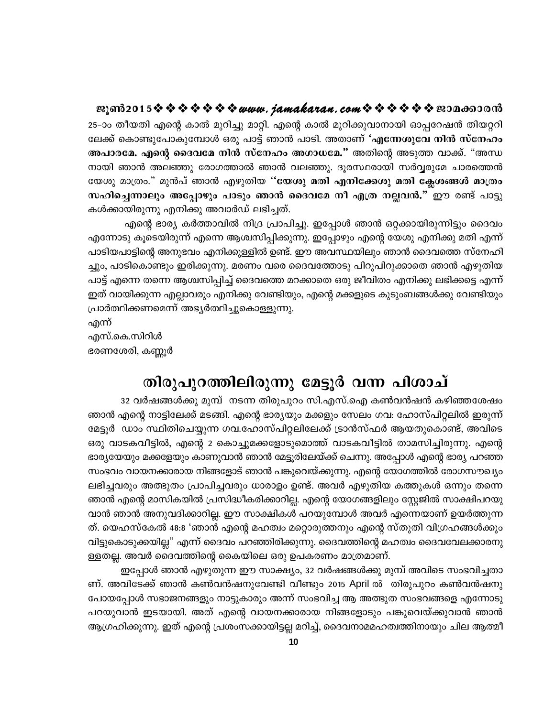25-ാം തീയതി എന്റെ കാൽ മുറിച്ചു മാറ്റി. എന്റെ കാൽ മുറിക്കുവാനായി ഓപ്പറേഷൻ തിയറ്ററി ലേക്ക് കൊണ്ടുപോകുമ്പോൾ ഒരു പാട്ട് ഞാൻ പാടി. അതാണ് 'എന്നേശുവേ നിൻ സ്നേഹം അപാരമേ. എന്റെ ദൈവമേ നിൻ സ്നേഹം അഗാധമേ." അതിന്റെ അടുത്ത വാക്ക്. "അന്ധ നായി ഞാൻ അലഞ്ഞു രോഗത്താൽ ഞാൻ വലഞ്ഞു. ദൂരസ്ഥരായി സർവ്വരുമേ ചാരത്തെൻ യേശു മാത്രം." മുൻപ് ഞാൻ എഴുതിയ ''യേശു മതി എനിക്കേശു മതി ക്ലേശങ്ങൾ മാത്രം സഹിച്ചെന്നാലും അപ്പോഴും പാടും ഞാൻ ദൈവമേ നീ എത്ര നല്ലവൻ." ഈ രണ്ട് പാട്ടു കൾക്കായിരുന്നു എനിക്കു അവാർഡ് ലഭിച്ചത്.

എന്റെ ഭാര്യ കർത്താവിൽ നിദ്ര പ്രാപിച്ചു. ഇപ്പോൾ ഞാൻ ഒറ്റക്കായിരുന്നിട്ടും ദൈവം എന്നോടു കൂടെയിരുന്ന് എന്നെ ആശ്വസിപ്പിക്കുന്നു. ഇപ്പോഴും എന്റെ യേശു എനിക്കു മതി എന്ന് പാടിയപാട്ടിന്റെ അനുഭവം എനിക്കുള്ളിൽ ഉണ്ട്. ഈ അവസ്ഥയിലും ഞാൻ ദൈവത്തെ സ്നേഹി ച്ചും, പാടികൊണ്ടും ഇരിക്കുന്നു. മരണം വരെ ദൈവത്തോടു പിറുപിറുക്കാതെ ഞാൻ എഴുതിയ പാട്ട് എന്നെ തന്നെ ആശ്വസിപ്പിച്ച് ദൈവത്തെ മറക്കാതെ ഒരു ജീവിതം എനിക്കു ലഭിക്കട്ടെ എന്ന് ഇത് വായിക്കുന്ന എല്ലാവരും എനിക്കു വേണ്ടിയും, എന്റെ മക്കളുടെ കുടുംബങ്ങൾക്കു വേണ്ടിയും പ്രാർത്ഥിക്കണമെന്ന് അഭ്യർത്ഥിച്ചുകൊള്ളുന്നു.

എന്ന് എസ്.കെ.സിറിൾ

ഭരണശേരി, കണ്ണൂർ

# തിരുപുറത്തിലിരുന്നു മേട്ടുർ വന്ന പിശാച്

32 വർഷങ്ങൾക്കു മുമ്പ് നടന്ന തിരുപുറം സി.എസ്.ഐ കൺവൻഷൻ കഴിഞ്ഞശേഷം ഞാൻ എന്റെ നാട്ടിലേക്ക് മടങ്ങി. എന്റെ ഭാര്യയും മക്കളും സേലം ഗവ: ഹോസ്പിറ്റലിൽ ഇരുന്ന് മേട്ടൂർ ഡാം സ്ഥിതിചെയ്യുന്ന ഗവ.ഹോസ്പിറ്റലിലേക്ക് ട്രാൻസ്ഫർ ആയതുകൊണ്ട്, അവിടെ ഒരു വാടകവീട്ടിൽ, എന്റെ 2 കൊച്ചുമക്കളോടുമൊത്ത് വാടകവീട്ടിൽ താമസിച്ചിരുന്നു. എന്റെ ഭാര്യയേയും മക്കളേയും കാണുവാൻ ഞാൻ മേട്ടൂരിലേയ്ക്ക് ചെന്നു. അപ്പോൾ എന്റെ ഭാര്യ പറഞ്ഞ സംഭവം വായനക്കാരായ നിങ്ങളോട് ഞാൻ പങ്കുവെയ്ക്കുന്നു. എന്റെ യോഗത്തിൽ രോഗസൗഖ്യം ലഭിച്ചവരും അത്ഭുതം പ്രാപിച്ചവരും ധാരാളം ഉണ്ട്. അവർ എഴുതിയ കത്തുകൾ ഒന്നും തന്നെ ഞാൻ എന്റെ മാസികയിൽ പ്രസിദ്ധീകരിക്കാറില്ല. എന്റെ യോഗങ്ങളിലും സ്റ്റേജിൽ സാക്ഷിപറയു വാൻ ഞാൻ അനുവദിക്കാറില്ല. ഈ സാക്ഷികൾ പറയുമ്പോൾ അവർ എന്നെയാണ് ഉയർത്തുന്ന ത്. യെഹസ്കേൽ 48:8 'ഞാൻ എന്റെ മഹത്വം മറ്റൊരുത്തനും എന്റെ സ്തുതി വിഗ്രഹങ്ങൾക്കും വിട്ടുകൊടുക്കയില്ല" എന്ന് ദൈവം പറഞ്ഞിരിക്കുന്നു. ദൈവത്തിന്റെ മഹത്വം ദൈവവേലക്കാരനു ള്ളതല്ല. അവർ ദൈവത്തിന്റെ കൈയിലെ ഒരു ഉപകരണം മാത്രമാണ്.

ഇപ്പോൾ ഞാൻ എഴുതുന്ന ഈ സാക്ഷ്യം, 32 വർഷങ്ങൾക്കു മുമ്പ് അവിടെ സംഭവിച്ചതാ ണ്. അവിടേക്ക് ഞാൻ കൺവൻഷനുവേണ്ടി വീണ്ടും 2015 April ൽ തിരുപുറം കൺവൻഷനു പോയപ്പോൾ സഭാജനങ്ങളും നാട്ടുകാരും അന്ന് സംഭവിച്ച ആ അത്ഭുത സംഭവങ്ങളെ എന്നോടു പറയുവാൻ ഇടയായി. അത് എന്റെ വായനക്കാരായ നിങ്ങളോടും പങ്കുവെയ്ക്കുവാൻ ഞാൻ ആഗ്രഹിക്കുന്നു. ഇത് എന്റെ പ്രശംസക്കായിട്ടല്ല മറിച്ച്, ദൈവനാമമഹത്വത്തിനായും ചില ആത്മീ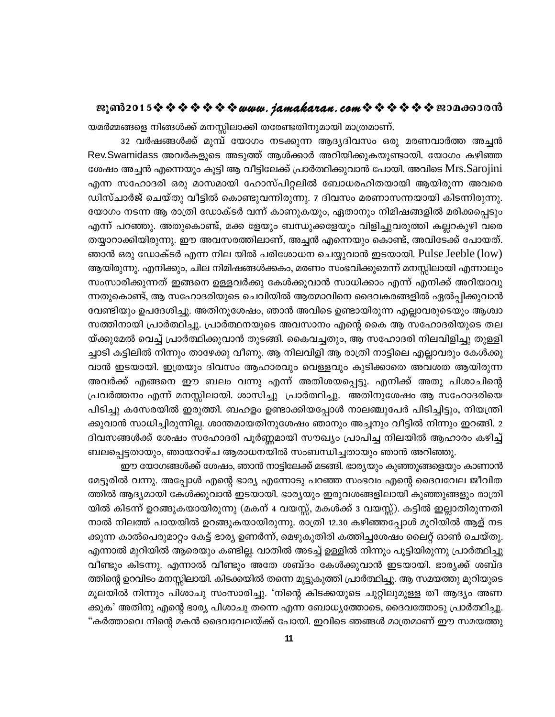യമർമ്മങ്ങളെ നിങ്ങൾക്ക് മനസ്സിലാക്കി തരേണ്ടതിനുമായി മാത്രമാണ്.

32 വർഷങ്ങൾക്ക് മുമ്പ് യോഗം നടക്കുന്ന ആദ്യദിവസം ഒരു മരണവാർത്ത അച്ചൻ Rev.Swamidass അവർകളുടെ അടുത്ത് ആൾക്കാർ അറിയിക്കുകയുണ്ടായി. യോഗം കഴിഞ്ഞ ശേഷം അച്ചൻ എന്നെയും കൂട്ടി ആ വീട്ടിലേക്ക് പ്രാർത്ഥിക്കുവാൻ പോയി. അവിടെ Mrs.Sarojini എന്ന സഹോദരി ഒരു മാസമായി ഹോസ്പിറ്റലിൽ ബോധരഹിതയായി ആയിരുന്ന അവരെ ഡിസ്ചാർജ് ചെയ്തു വീട്ടിൽ കൊണ്ടുവന്നിരുന്നു. 7 ദിവസം മരണാസന്നയായി കിടന്നിരുന്നു. യോഗം നടന്ന ആ രാത്രി ഡോക്ടർ വന്ന് കാണുകയും, ഏതാനും നിമിഷങ്ങളിൽ മരിക്കപ്പെടും .എന്ന് പറഞ്ഞു. അതുകൊണ്ട്, മക്ക ളേയും ബന്ധുക്കളേയും വിളിച്ചുവരുത്തി കല്ലറകുഴി വരെ തയ്യാറാക്കിയിരുന്നു. ഈ അവസരത്തിലാണ്, അച്ചൻ എന്നെയും കൊണ്ട്, അവിടേക്ക് പോയത്. ഞാൻ ഒരു ഡോക്ടർ എന്ന നില യിൽ പരിശോധന ചെയ്യുവാൻ ഇടയായി. Pulse Jeeble (low) ആയിരുന്നു. എനിക്കും, ചില നിമിഷങ്ങൾക്കകം, മരണം സംഭവിക്കുമെന്ന് മനസ്സിലായി എന്നാലും സംസാരിക്കുന്നത് ഇങ്ങനെ ഉള്ളവർക്കു കേൾക്കുവാൻ സാധിക്കാം എന്ന് എനിക്ക് അറിയാവു ന്നതുകൊണ്ട്, ആ സഹോദരിയുടെ ചെവിയിൽ ആത്മാവിനെ ദൈവകരങ്ങളിൽ ഏൽപ്പിക്കുവാൻ വേണ്ടിയും ഉപദേശിച്ചു. അതിനുശേഷം, ഞാൻ അവിടെ ഉണ്ടായിരുന്ന എല്ലാവരുടെയും ആശ്വാ സത്തിനായി പ്രാർത്ഥിച്ചു. പ്രാർത്ഥനയുടെ അവസാനം എന്റെ കൈ ആ സഹോദരിയുടെ തല യ്ക്കുമേൽ വെച്ച് പ്രാർത്ഥിക്കുവാൻ തുടങ്ങി. കൈവച്ചതും, ആ സഹോദരി നിലവിളിച്ചു തുള്ളി ച്ചാടി കട്ടിലിൽ നിന്നും താഴേക്കു വീണു. ആ നിലവിളി ആ രാത്രി നാട്ടിലെ എല്ലാവരും കേൾക്കു വാൻ ഇടയായി. ഇത്രയും ദിവസം ആഹാരവും വെള്ളവും കുടിക്കാതെ അവശത ആയിരുന്ന അവർക്ക് എങ്ങനെ ഈ ബലം വന്നു എന്ന് അതിശയപ്പെട്ടു. എനിക്ക് അതു പിശാചിന്റെ പ്രവർത്തനം എന്ന് മനസ്സിലായി. ശാസിച്ചു പ്രാർത്ഥിച്ചു. അതിനുശേഷം ആ സഹോദരിയെ പിടിച്ചു കസേരയിൽ ഇരുത്തി. ബഹളം ഉണ്ടാക്കിയപ്പോൾ നാലഞ്ചുപേർ പിടിച്ചിട്ടും, നിയന്ത്രി ക്കുവാൻ സാധിച്ചിരുന്നില്ല. ശാന്തമായതിനുശേഷം ഞാനും അച്ചനും വീട്ടിൽ നിന്നും ഇറങ്ങി. 2 ദിവസങ്ങൾക്ക് ശേഷം സഹോദരി പൂർണ്ണമായി സൗഖ്യം പ്രാപിച്ച നിലയിൽ ആഹാരം കഴിച്ച് ബലപ്പെട്ടതായും, ഞായറാഴ്ച ആരാധനയിൽ സംബന്ധിച്ചതായും ഞാൻ അറിഞ്ഞു.

ഈ യോഗങ്ങൾക്ക് ശേഷം, ഞാൻ നാട്ടിലേക്ക് മടങ്ങി. ഭാര്യയും കുഞ്ഞുങ്ങളെയും കാണാൻ മേട്ടൂരിൽ വന്നു. അപ്പോൾ എന്റെ ഭാര്യ എന്നോടു പറഞ്ഞ സംഭവം എന്റെ ദൈവവേല ജീവിത ത്തിൽ ആദ്യമായി കേൾക്കുവാൻ ഇടയായി. ഭാര്യയും ഇരുവശങ്ങളിലായി കുഞ്ഞുങ്ങളും രാത്രി യിൽ കിടന്ന് ഉറങ്ങുകയായിരുന്നു (മകന് 4 വയസ്സ്, മകൾക്ക് 3 വയസ്സ്). കട്ടിൽ ഇല്ലാതിരുന്നതി നാൽ നിലത്ത് പായയിൽ ഉറങ്ങുകയായിരുന്നു. രാത്രി 12.30 കഴിഞ്ഞപ്പോൾ മൂറിയിൽ ആള് നട ക്കുന്ന കാൽപെരുമാറ്റം കേട്ട് ഭാര്യ ഉണർന്ന്, മെഴുകുതിരി കത്തിച്ചശേഷം ലൈറ്റ് ഓൺ ചെയ്തു. എന്നാൽ മുറിയിൽ ആരെയും കണ്ടില്ല. വാതിൽ അടച്ച് ഉള്ളിൽ നിന്നും പൂട്ടിയിരുന്നു പ്രാർത്ഥിച്ചു വീണ്ടും കിടന്നു. എന്നാൽ വീണ്ടും അതേ ശബ്ദം കേൾക്കുവാൻ ഇടയായി. ഭാര്യക്ക് ശബ്ദ ത്തിന്റെ ഉറവിടം മനസ്സിലായി. കിടക്കയിൽ തന്നെ മുട്ടുകുത്തി പ്രാർത്ഥിച്ചു. ആ സമയത്തു മുറിയുടെ മൂലയിൽ നിന്നും പിശാചു സംസാരിച്ചു. 'നിന്റെ കിടക്കയുടെ ചുറ്റിലുമുള്ള തീ ആദ്യം അണ ക്കുക' അതിനു എന്റെ ഭാര്യ പിശാചു തന്നെ എന്ന ബോധ്യത്തോടെ, ദൈവത്തോടു പ്രാർത്ഥിച്ചു. "കർത്താവെ നിന്റെ മകൻ ദൈവവേലയ്ക്ക് പോയി. ഇവിടെ ഞങ്ങൾ മാത്രമാണ് ഈ സമയത്തു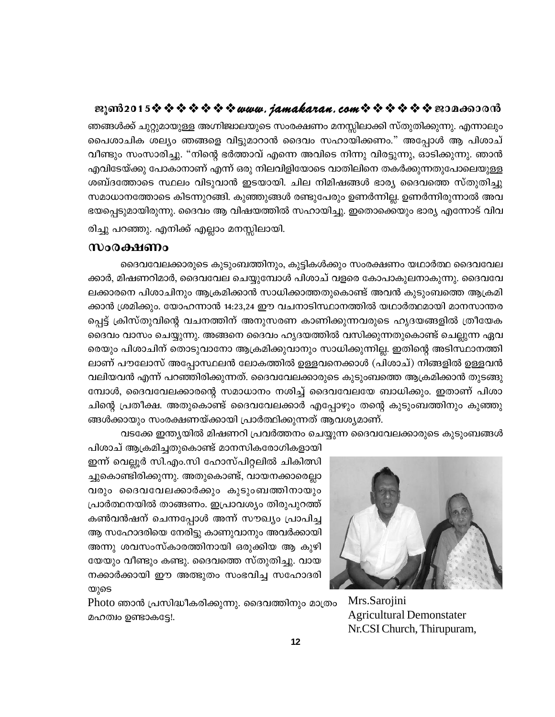ഞങ്ങൾക്ക് ചുറ്റുമായുള്ള അഗ്നിജ്വാലയുടെ സംരക്ഷണം മനസ്സിലാക്കി സ്തുതിക്കുന്നു. എന്നാലും പൈശാചിക ശല്യം ഞങ്ങളെ വിട്ടുമാറാൻ ദൈവം സഹായിക്കണം." അപ്പോൾ ആ പിശാച് വീണ്ടും സംസാരിച്ചു. "നിന്റെ ഭർത്താവ് എന്നെ അവിടെ നിന്നു വിരട്ടുന്നു, ഓടിക്കുന്നു. ഞാൻ എവിടേയ്ക്കു പോകാനാണ് എന്ന് ഒരു നിലവിളിയോടെ വാതിലിനെ തകർക്കുന്നതുപോലെയുള്ള ശബ്ദത്തോടെ സ്ഥലം വിടുവാൻ ഇടയായി. ചില നിമിഷങ്ങൾ ഭാര്യ ദൈവത്തെ സ്തുതിച്ചു സമാധാനത്തോടെ കിടന്നുറങ്ങി. കുഞ്ഞുങ്ങൾ രണ്ടുപേരും ഉണർന്നില്ല. ഉണർന്നിരുന്നാൽ അവ ഭയപ്പെടുമായിരുന്നു. ദൈവം ആ വിഷയത്തിൽ സഹായിച്ചു. ഇതൊക്കെയും ഭാര്യ എന്നോട് വിവ

രിച്ചു പറഞ്ഞു. എനിക്ക് എല്ലാം മനസ്സിലായി.

#### സംരക്ഷണം

ദൈവവേലക്കാരുടെ കുടുംബത്തിനും, കുട്ടികൾക്കും സംരക്ഷണം യഥാർത്ഥ ദൈവവേല ക്കാർ, മിഷണറിമാർ, ദൈവവേല ചെയ്യുമ്പോൾ പിശാച് വളരെ കോപാകുലനാകുന്നു. ദൈവവേ ലക്കാരനെ പിശാചിനും ആക്രമിക്കാൻ സാധിക്കാത്തതുകൊണ്ട് അവൻ കുടുംബത്തെ ആക്രമി ക്കാൻ ശ്രമിക്കും. യോഹന്നാൻ 14:23,24 ഈ വചനാടിസ്ഥാനത്തിൽ യഥാർത്ഥമായി മാനസാന്തര പ്പെട്ട് ക്രിസ്തുവിന്റെ വചനത്തിന് അനുസരണ കാണിക്കുന്നവരുടെ ഹൃദയങ്ങളിൽ ത്രീയേക ദൈവം വാസം ചെയ്യുന്നു. അങ്ങനെ ദൈവം ഹൃദയത്തിൽ വസിക്കുന്നതുകൊണ്ട് ചെല്ലുന്ന ഏവ രെയും പിശാചിന് തൊടുവാനോ ആക്രമിക്കുവാനും സാധിക്കുന്നില്ല. ഇതിന്റെ അടിസ്ഥാനത്തി ലാണ് പൗലോസ് അപ്പോസ്ഥലൻ ലോകത്തിൽ ഉള്ളവനെക്കാൾ (പിശാച്) നിങ്ങളിൽ ഉള്ളവൻ വലിയവൻ എന്ന് പറഞ്ഞിരിക്കുന്നത്. ദൈവവേലക്കാരുടെ കുടുംബത്തെ ആക്രമിക്കാൻ തുടങ്ങു മ്പോൾ, ദൈവവേലക്കാരന്റെ സമാധാനം നശിച്ച് ദൈവവേലയേ ബാധിക്കും. ഇതാണ് പിശാ ചിന്റെ പ്രതീക്ഷ. അതുകൊണ്ട് ദൈവവേലക്കാർ എപ്പോഴും തന്റെ കുടുംബത്തിനും കുഞ്ഞു ങ്ങൾക്കായും സംരക്ഷണയ്ക്കായി പ്രാർത്ഥിക്കുന്നത് ആവശ്യമാണ്.

വടക്കേ ഇന്ത്യയിൽ മിഷണറി പ്രവർത്തനം ചെയ്യുന്ന ദൈവവേലക്കാരുടെ കുടുംബങ്ങൾ

പിശാച് ആക്രമിച്ചതുകൊണ്ട് മാനസികരോഗികളായി ഇന്ന് വെല്ലൂർ സി.എം.സി ഹോസ്പിറ്റലിൽ ചികിത്സി ച്ചുകൊണ്ടിരിക്കുന്നു. അതുകൊണ്ട്, വായനക്കാരെല്ലാ വരും ദൈവവേലക്കാർക്കും കുടുംബത്തിനായും പ്രാർത്ഥനയിൽ താങ്ങണം. ഇപ്രാവശ്യം തിരുപുറത്ത് കൺവൻഷന് ചെന്നപ്പോൾ അന്ന് സൗഖ്യം പ്രാപിച്ച ആ സഹോദരിയെ നേരിട്ടു കാണുവാനും അവർക്കായി അന്നു ശവസംസ്കാരത്തിനായി ഒരുക്കിയ ആ കുഴി യേയും വീണ്ടും കണ്ടു. ദൈവത്തെ സ്തുതിച്ചു. വായ നക്കാർക്കായി ഈ അത്ഭുതം സംഭവിച്ച സഹോദരി യുടെ

Photo ഞാൻ പ്രസിദ്ധീകരിക്കുന്നു. ദൈവത്തിനും മാത്രം മഹത്വം ഉണ്ടാകട്ടേ!.



Mrs.Sarojini **Agricultural Demonstater** Nr.CSI Church, Thirupuram,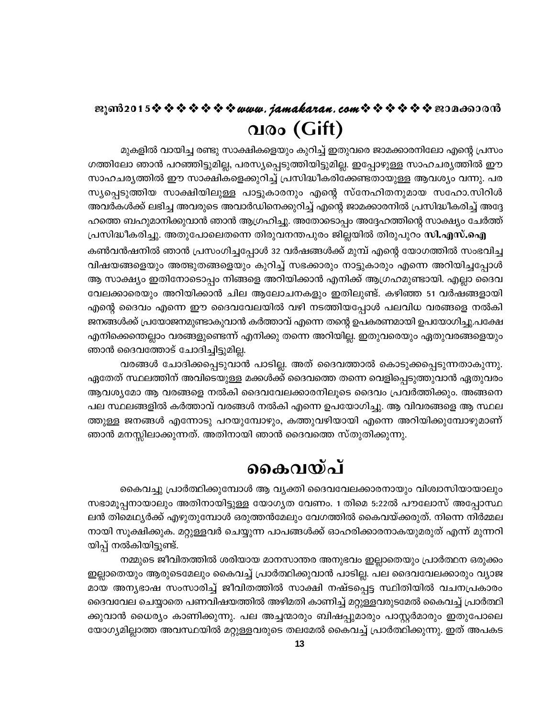# **QIOo** (Gift)

മുകളിൽ വായിച്ച രണ്ടു സാക്ഷികളെയും കുറിച്ച് ഇതുവരെ ജാമക്കാരനിലോ എന്റെ പ്രസം ഗത്തിലോ ഞാൻ പറഞ്ഞിട്ടുമില്ല, പരസ്യപ്പെടുത്തിയിട്ടുമില്ല. ഇപ്പോഴുള്ള സാഹചര്യത്തിൽ ഈ സാഹചര്യത്തിൽ ഈ സാക്ഷികളെക്കുറിച്ച് പ്രസിദ്ധീകരിക്കേണ്ടതായുള്ള ആവശ്യം വന്നു. പര സ്യപ്പെടുത്തിയ സാക്ഷിയിലുള്ള പാട്ടുകാരനും എന്റെ സ്നേഹിതനുമായ സഹോ.സിറിൾ അവർകൾക്ക് ലഭിച്ച അവരുടെ അവാർഡിനെക്കുറിച്ച് എന്റെ ജാമക്കാരനിൽ പ്രസിദ്ധീകരിച്ച് അദ്ദേ ഹത്തെ ബഹുമാനിക്കുവാൻ ഞാൻ ആഗ്രഹിച്ചു. അതോടൊപ്പം അദ്ദേഹത്തിന്റെ സാക്ഷ്യം ചേർത്ത്

പ്രസിദ്ധീകരിച്ചു. അതുപോലെതന്നെ തിരുവനന്തപുരം ജില്ലയിൽ തിരുപുറം സി.എസ്.ഐ കൺവൻഷനിൽ ഞാൻ പ്രസംഗിച്ചപ്പോൾ 32 വർഷങ്ങൾക്ക് മുമ്പ് എന്റെ യോഗത്തിൽ സംഭവിച്ച വിഷയങ്ങളെയും അത്ഭുതങ്ങളെയും കുറിച്ച് സഭക്കാരും നാട്ടുകാരും എന്നെ അറിയിച്ചപ്പോൾ ആ സാക്ഷ്യം ഇതിനോടൊപ്പം നിങ്ങളെ അറിയിക്കാൻ എനിക്ക് ആഗ്രഹമുണ്ടായി. എല്ലാ ദൈവ വേലക്കാരെയും അറിയിക്കാൻ ചില ആലോചനകളും ഇതിലുണ്ട്. കഴിഞ്ഞ 51 വർഷങ്ങളായി എന്റെ ദൈവം എന്നെ ഈ ദൈവവേലയിൽ വഴി നടത്തിയപ്പോൾ പലവിധ വരങ്ങളെ നൽകി ജനങ്ങൾക്ക് പ്രയോജനമുണ്ടാകുവാൻ കർത്താവ് എന്നെ തന്റെ ഉപകരണമായി ഉപയോഗിച്ചു.പക്ഷേ എനിക്കെന്തെല്ലാം വരങ്ങളുണ്ടെന്ന് എനിക്കു തന്നെ അറിയില്ല. ഇതുവരെയും ഏതുവരങ്ങളെയും ഞാൻ ദൈവത്തോട് ചോദിച്ചിട്ടുമില്ല.

വരങ്ങൾ ചോദിക്കപ്പെടുവാൻ പാടില്ല. അത് ദൈവത്താൽ കൊടുക്കപ്പെടുന്നതാകുന്നു. ഏതേത് സ്ഥലത്തിന് അവിടെയുള്ള മക്കൾക്ക് ദൈവത്തെ തന്നെ വെളിപ്പെടുത്തുവാൻ ഏതുവരം ആവശ്യമോ ആ വരങ്ങളെ നൽകി ദൈവവേലക്കാരനിലൂടെ ദൈവം പ്രവർത്തിക്കും. അങ്ങനെ പല സ്ഥലങ്ങളിൽ കർത്താവ് വരങ്ങൾ നൽകി എന്നെ ഉപയോഗിച്ചു. ആ വിവരങ്ങളെ ആ സ്ഥല ത്തുള്ള ജനങ്ങൾ എന്നോടു പറയുമ്പോഴും, കത്തുവഴിയായി എന്നെ അറിയിക്കുമ്പോഴുമാണ് ഞാൻ മനസ്സിലാക്കുന്നത്. അതിനായി ഞാൻ ദൈവത്തെ സ്തുതിക്കുന്നു.

# കൈവയ്പ്

കൈവച്ചു പ്രാർത്ഥിക്കുമ്പോൾ ആ വ്യക്തി ദൈവവേലക്കാരനായും വിശ്വാസിയായാലും സഭാമൂപ്പനായാലും അതിനായിട്ടുള്ള യോഗൃത വേണം. 1 തിമെ 5:22ൽ പൗലോസ് അപ്പോസ്ഥ ലൻ തിമെഥ്യർക്ക് എഴുതുമ്പോൾ ഒരുത്തൻമേലും വേഗത്തിൽ കൈവയ്ക്കരുത്. നിന്നെ നിർമ്മല നായി സൂക്ഷിക്കുക. മറ്റുള്ളവർ ചെയ്യുന്ന പാപങ്ങൾക്ക് ഓഹരിക്കാരനാകയുമരുത് എന്ന് മുന്നറി യിപ്പ് നൽകിയിട്ടുണ്ട്.

നമ്മുടെ ജീവിതത്തിൽ ശരിയായ മാനസാന്തര അനുഭവം ഇല്ലാതെയും പ്രാർത്ഥന ഒരുക്കം ഇല്ലാതെയും ആരുടെമേലും കൈവച്ച് പ്രാർത്ഥിക്കുവാൻ പാടില്ല. പല ദൈവവേലക്കാരും വ്യാജ മായ അനൃഭാഷ സംസാരിച്ച് ജീവിതത്തിൽ സാക്ഷി നഷ്ടപ്പെട്ട സ്ഥിതിയിൽ വചനപ്രകാരം ദൈവവേല ചെയ്യാതെ പണവിഷയത്തിൽ അഴിമതി കാണിച്ച് മറ്റുള്ളവരുടമേൽ കൈവച്ച് പ്രാർത്ഥി ക്കുവാൻ ധൈര്യം കാണിക്കുന്നു. പല അച്ചന്മാരും ബിഷപ്പുമാരും പാസ്റ്റർമാരും ഇതുപോലെ യോഗ്യമില്ലാത്ത അവസ്ഥയിൽ മറ്റുള്ളവരുടെ തലമേൽ കൈവച്ച് പ്രാർത്ഥിക്കുന്നു. ഇത് അപകട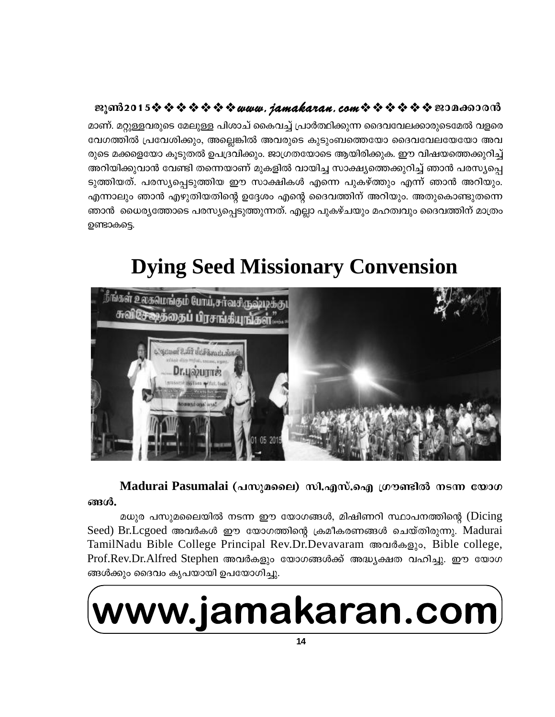മാണ്. മറ്റുള്ളവരുടെ മേലുള്ള പിശാച് കൈവച്ച് പ്രാർത്ഥിക്കുന്ന ദൈവവേലക്കാരുടെമേൽ വളരെ വേഗത്തിൽ പ്രവേശിക്കും, അല്ലെങ്കിൽ അവരുടെ കുടുംബത്തെയോ ദൈവവേലയേയോ അവ രുടെ മക്കളെയോ കൂടുതൽ ഉപദ്രവിക്കും. ജാഗ്രതയോടെ ആയിരിക്കുക. ഈ വിഷയത്തെക്കുറിച്ച് അറിയിക്കുവാൻ വേണ്ടി തന്നെയാണ് മുകളിൽ വായിച്ച സാക്ഷ്യത്തെക്കുറിച്ച് ഞാൻ പരസ്യപ്പെ ടുത്തിയത്. പരസ്യപ്പെടുത്തിയ ഈ സാക്ഷികൾ എന്നെ പുകഴ്ത്തും എന്ന് ഞാൻ അറിയും. എന്നാലും ഞാൻ എഴുതിയതിന്റെ ഉദ്ദേശം എന്റെ ദൈവത്തിന് അറിയും. അതുകൊണ്ടുതന്നെ ഞാൻ ധൈര്യത്തോടെ പരസ്യപ്പെടുത്തുന്നത്. എല്ലാ പുകഴ്ചയും മഹത്വവും ദൈവത്തിന് മാത്രം ഉണ്ടാകട്ടെ.

# **Dying Seed Missionary Convension**



Madurai Pasumalai (പസുമലൈ) സി.എസ്.ഐ ഗ്രൗണ്ടിൽ നടന്ന യോഗ ങ്ങൾ.

മധുര പസുമലൈയിൽ നടന്ന ഈ യോഗങ്ങൾ, മിഷിണറി സ്ഥാപനത്തിന്റെ (Dicing Seed) Br.Lcgoed അവർകൾ ഈ യോഗത്തിന്റെ ക്രമീകരണങ്ങൾ ചെയ്തിരുന്നു. Madurai TamilNadu Bible College Principal Rev.Dr.Devavaram അവർകളും, Bible college, Prof.Rev.Dr.Alfred Stephen അവർകളും യോഗങ്ങൾക്ക് അദ്ധ്യക്ഷത വഹിച്ചു. ഈ യോഗ ങ്ങൾക്കും ദൈവം കൃപയായി ഉപയോഗിച്ചു.

# www.jamakaran.com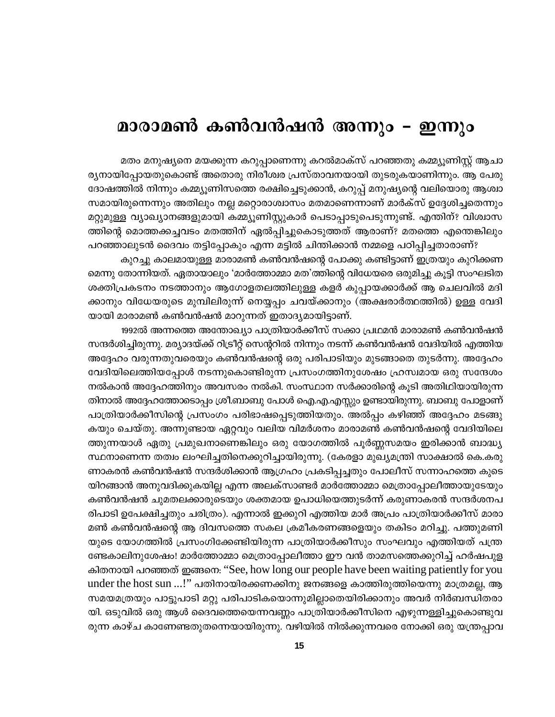# മാരാമൺ കൺവൻഷൻ അന്നും – ഇന്നും

മതം മനുഷ്യനെ മയക്കുന്ന കറുപ്പാണെന്നു കറൽമാക്സ് പറഞ്ഞതു കമ്മ്യൂണിസ്റ്റ് ആചാ ര്യനായിപ്പോയതുകൊണ്ട് അതൊരു നിരീശ്വര പ്രസ്താവനയായി തുടരുകയാണിന്നും. ആ പേരു ദോഷത്തിൽ നിന്നും കമ്മ്യൂണിസത്തെ രക്ഷിച്ചെടുക്കാൻ, കറുപ്പ് മനുഷ്യന്റെ വലിയൊരു ആശ്വാ സമായിരുന്നെന്നും അതിലും നല്ല മറ്റൊരാശ്വാസം മതമാണെന്നാണ് മാർക്സ് ഉദ്ദേശിച്ചതെന്നും മറ്റുമുള്ള വ്യാഖ്യാനങ്ങളുമായി കമ്മ്യൂണിസ്റ്റുകാർ പെടാപ്പാടുപെടുന്നുണ്ട്. എന്തിന്? വിശ്വാസ ത്തിന്റെ മൊത്തക്കച്ചവടം മതത്തിന് ഏൽപ്പിച്ചുകൊടുത്തത് ആരാണ്? മതത്തെ എന്തെങ്കിലും

പറഞ്ഞാലുടൻ ദൈവം തട്ടിപ്പോകും എന്ന മട്ടിൽ ചിന്തിക്കാൻ നമ്മളെ പഠിപ്പിച്ചതാരാണ്? കുറച്ചു കാലമായുള്ള മാരാമൺ കൺവൻഷന്റെ പോക്കു കണ്ടിട്ടാണ് ഇത്രയും കുറിക്കണ മെന്നു തോന്നിയത്. ഏതായാലും 'മാർത്തോമ്മാ മത'ത്തിന്റെ വിധേയരെ ഒരുമിച്ചു കൂട്ടി സംഘടിത ശക്തിപ്രകടനം നടത്താനും ആഗോളതലത്തിലുള്ള കളർ കുപ്പായക്കാർക്ക് ആ ചെലവിൽ മദി ക്കാനും വിധേയരുടെ മുമ്പിലിരുന്ന് നെയ്യപ്പം ചവയ്ക്കാനും (അക്ഷരാർത്ഥത്തിൽ) ഉള്ള വേദി യായി മാരാമൺ കൺവൻഷൻ മാറുന്നത് ഇതാദ്യമായിട്ടാണ്.

1992ൽ അന്നത്തെ അന്തോഖ്യാ പാത്രിയാർക്കീസ് സക്കാ പ്രഥമൻ മാരാമൺ കൺവൻഷൻ സന്ദർശിച്ചിരുന്നു. മര്യാദയ്ക്ക് റിട്രീറ്റ് സെന്ററിൽ നിന്നും നടന്ന് കൺവൻഷൻ വേദിയിൽ എത്തിയ അദ്ദേഹം വരുന്നതുവരെയും കൺവൻഷന്റെ ഒരു പരിപാടിയും മുടങ്ങാതെ തുടർന്നു. അദ്ദേഹം വേദിയിലെത്തിയപ്പോൾ നടന്നുകൊണ്ടിരുന്ന പ്രസംഗത്തിനുശേഷം ഹ്രസ്വമായ ഒരു സന്ദേശം നൽകാൻ അദ്ദേഹത്തിനും അവസരം നൽകി. സംസ്ഥാന സർക്കാരിന്റെ കൂടി അതിഥിയായിരുന്ന തിനാൽ അദ്ദേഹത്തോടൊപ്പം ശ്രീ.ബാബു പോൾ ഐ.എ.എസ്സും ഉണ്ടായിരുന്നു. ബാബു പോളാണ് പാത്രിയാർക്കീസിന്റെ പ്രസംഗം പരിഭാഷപ്പെടുത്തിയതും. അൽപ്പം കഴിഞ്ഞ് അദ്ദേഹം മടങ്ങു കയും ചെയ്തു. അന്നുണ്ടായ ഏറ്റവും വലിയ വിമർശനം മാരാമൺ കൺവൻഷന്റെ വേദിയിലെ ത്തുന്നയാൾ ഏതു പ്രമുഖനാണെങ്കിലും ഒരു യോഗത്തിൽ പൂർണ്ണസമയം ഇരിക്കാൻ ബാദ്ധ്യ സ്ഥനാണെന്ന തത്വം ലംഘിച്ചതിനെക്കുറിച്ചായിരുന്നു. (കേരളാ മുഖ്യമന്ത്രി സാക്ഷാൽ കെ.കരു ണാകരൻ കൺവൻഷൻ സന്ദർശിക്കാൻ ആഗ്രഹം പ്രകടിപ്പച്ചതും പോലീസ് സന്നാഹത്തെ കുടെ യിറങ്ങാൻ അനുവദിക്കുകയില്ല എന്ന അലക്സാണ്ടർ മാർത്തോമ്മാ മെത്രാപ്പോലീത്തായുടേയും കൺവൻഷൻ ചുമതലക്കാരുടെയും ശക്തമായ ഉപാധിയെത്തുടർന്ന് കരുണാകരൻ സന്ദർശനപ രിപാടി ഉപേക്ഷിച്ചതും ചരിത്രം). എന്നാൽ ഇക്കുറി എത്തിയ മാർ അപ്രം പാത്രിയാർക്കീസ് മാരാ മൺ കൺവൻഷന്റെ ആ ദിവസത്തെ സകല ക്രമീകരണങ്ങളെയും തകിടം മറിച്ചു. പത്തുമണി യുടെ യോഗത്തിൽ പ്രസംഗിക്കേണ്ടിയിരുന്ന പാത്രിയാർക്കീസും സംഘവും എത്തിയത് പന്ത്ര ണ്ടേകാലിനുശേഷം! മാർത്തോമ്മാ മെത്രാപ്പോലീത്താ ഈ വൻ താമസത്തെക്കുറിച്ച് ഹർഷപുള കിതനായി പറഞ്ഞത് ഇങ്ങനെ: "See, how long our people have been waiting patiently for you under the host sun ...!'' പതിനായിരക്കണക്കിനു ജനങ്ങളെ കാത്തിരുത്തിയെന്നു മാത്രമല്ല, ആ സമയമത്രയും പാട്ടുപാടി മറ്റു പരിപാടികയൊന്നുമില്ലാതെയിരിക്കാനും അവർ നിർബന്ധിതരാ യി. ഒടുവിൽ ഒരു ആൾ ദൈവത്തെയെന്നവണ്ണം പാത്രിയാർക്കീസിനെ എഴുന്നള്ളിച്ചുകൊണ്ടുവ രുന്ന കാഴ്ച കാണേണ്ടതുതന്നെയായിരുന്നു. വഴിയിൽ നിൽക്കുന്നവരെ നോക്കി ഒരു യന്ത്രപ്പാവ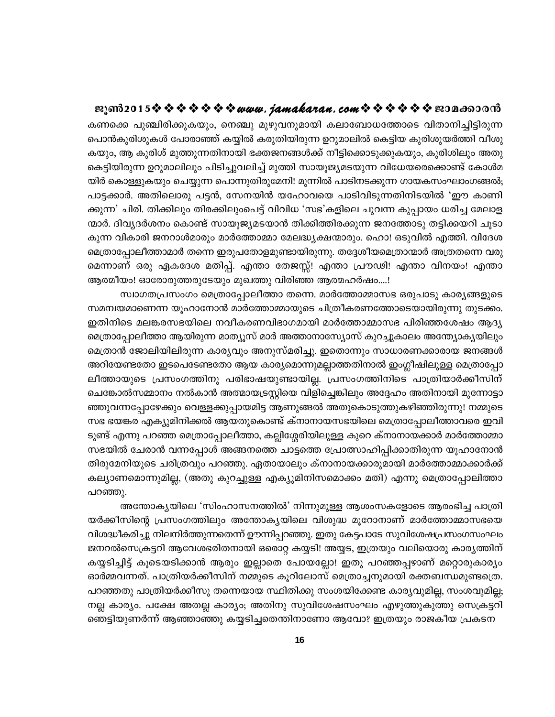കണക്കെ പുഞ്ചിരിക്കുകയും, നെഞ്ചു മുഴുവനുമായി കലാബോധത്തോടെ വിതാനിച്ചിട്ടിരുന്ന പൊൻകുരിശുകൾ പോരാഞ്ഞ് കയ്യിൽ കരുതിയിരുന്ന ഉറുമാലിൽ കെട്ടിയ കുരിശുയർത്തി വീശു കയും, ആ കുരിശ് മുത്തുന്നതിനായി ഭക്തജനങ്ങൾക്ക് നീട്ടിക്കൊടുക്കുകയും, കുരിശിലും അതു കെട്ടിയിരുന്ന ഉറുമാലിലും പിടിച്ചുവലിച്ച് മുത്തി സായൂജ്യമടയുന്ന വിധേയരെക്കൊണ്ട് കോൾമ യിർ കൊള്ളുകയും ചെയ്യുന്ന പൊന്നുതിരുമേനി! മുന്നിൽ പാടിനടക്കുന്ന ഗായകസംഘാംഗങ്ങൽ; പാട്ടക്കാർ. അതിലൊരു പട്ടൻ, സേനയിൻ യഹോവയെ പാടിവിടുന്നതിനിടയിൽ 'ഈ കാണി ക്കുന്ന' ചിരി. തിക്കിലും തിരക്കിലുംപെട്ട് വിവിധ 'സഭ'കളിലെ ചുവന്ന കുപ്പായം ധരിച്ച മേലാള ന്മാർ. ദിവ്യദർശനം കൊണ്ട് സായൂജ്യമടയാൻ തിക്കിത്തിരക്കുന്ന ജനത്തോടു തട്ടിക്കയറി ചൂടാ കുന്ന വികാരി ജനറാൾമാരും മാർത്തോമ്മാ മേലദ്ധ്യക്ഷന്മാരും. ഹൊ! ഒടുവിൽ എത്തി. വിദേശ മെത്രാപ്പോലീത്താമാർ തന്നെ ഇരുപതോളമുണ്ടായിരുന്നു. തദ്ദേശീയമെത്രാന്മാർ അത്രതന്നെ വരു മെന്നാണ് ഒരു ഏകദേശ മതിപ്പ്. എന്താ തേജസ്സ്! എന്താ പ്രൗഢി! എന്താ വിനയം! എന്താ ആത്മീയം! ഓരോരുത്തരുടേയും മുഖത്തു വിരിഞ്ഞ ആത്മഹർഷം....!

സ്വാഗതപ്രസംഗം മെത്രാപ്പോലീത്താ തന്നെ. മാർത്തോമ്മാസഭ ഒരുപാടു കാര്യങ്ങളുടെ സമന്വയമാണെന്ന യൂഹാനോൻ മാർത്തോമ്മായുടെ ചിത്രീകരണത്തോടെയായിരുന്നു തുടക്കം. ഇതിനിടെ മലങ്കരസഭയിലെ നവീകരണവിഭാഗമായി മാർത്തോമ്മാസഭ പിരിഞ്ഞശേഷം ആദ്യ മെത്രാപ്പോലീത്താ ആയിരുന്ന മാത്യൂസ് മാർ അത്താനാസ്യോസ് കുറച്ചുകാലം അന്ത്യോകൃയിലും മെത്രാൻ ജോലിയിലിരുന്ന കാര്യവും അനുസ്മരിച്ചു. ഇതൊന്നും സാധാരണക്കാരായ ജനങ്ങൾ അറിയേണ്ടതോ ഇടപെടേണ്ടതോ ആയ കാര്യമൊന്നുമല്ലാത്തതിനാൽ ഇംഗ്ലീഷിലുള്ള മെത്രാപ്പോ ലീത്തായുടെ പ്രസംഗത്തിനു പരിഭാഷയുണ്ടായില്ല. പ്രസംഗത്തിനിടെ പാത്രിയാർക്കീസിന് ചെങ്കോൽസമ്മാനം നൽകാൻ അത്മായട്രസ്റ്റിയെ വിളിച്ചെങ്കിലും അദ്ദേഹം അതിനായി മുന്നോട്ടാ ഞ്ഞുവന്നപ്പോഴേക്കും വെള്ളക്കുപ്പായമിട്ട ആണുങ്ങൽ അതുകൊടുത്തുകഴിഞ്ഞിരുന്നു! നമ്മുടെ സഭ ഭയങ്കര എക്യുമിനിക്കൽ ആയതുകൊണ്ട് ക്നാനായസഭയിലെ മെത്രാപ്പോലീത്താവരെ ഇവി ടുണ്ട് എന്നു പറഞ്ഞ മെത്രാപ്പോലീത്താ, കല്ലിശ്ശേരിയിലുള്ള കുറെ ക്നാനായക്കാർ മാർത്തോമ്മാ സഭയിൽ ചേരാൻ വന്നപ്പോൾ അങ്ങനത്തെ ചാട്ടത്തെ പ്രോത്സാഹിപ്പിക്കാതിരുന്ന യൂഹാനോൻ തിരുമേനിയുടെ ചരിത്രവും പറഞ്ഞു. ഏതായാലും ക്നാനായക്കാരുമായി മാർത്തോമ്മാക്കാർക്ക് കല്യാണമൊന്നുമില്ല, (അതു കുറച്ചുള്ള എക്യുമിനിസമൊക്കം മതി) എന്നു മെത്രാപ്പോലിത്താ പറഞ്ഞു.

അന്തോക്യയിലെ 'സിംഹാസനത്തിൽ' നിന്നുമുള്ള ആശംസകളോടെ ആരംഭിച്ച പാത്രി യർക്കീസിന്റെ പ്രസംഗത്തിലും അന്തോകൃയിലെ വിശുദ്ധ മൂറോനാണ് മാർത്തോമ്മാസഭയെ വിശദ്ധീകരിച്ചു നിലനിർത്തുന്നതെന്ന് ഊന്നിപ്പറഞ്ഞു. ഇതു കേട്ടപാടേ സുവിശേഷപ്രസംഗസംഘം ജനറൽസെക്രട്ടറി ആവേശഭരിതനായി ഒരൊറ്റ കയ്യടി! അയ്യട, ഇത്രയും വലിയൊരു കാര്യത്തിന് കയ്യടിച്ചിട്ട് കൂടെയടിക്കാൻ ആരും ഇല്ലാതെ പോയല്ലോ! ഇതു പറഞ്ഞപ്പഴാണ് മറ്റൊരുകാര്യം ഓർമ്മവന്നത്. പാത്രിയർക്കീസിന് നമ്മുടെ കൂറിലോസ് മെത്രാച്ചനുമായി രക്തബന്ധമുണ്ടത്രെ. പറഞ്ഞതു പാത്രിയർക്കീസു തന്നെയായ സ്ഥിതിക്കു സംശയിക്കേണ്ട കാര്യവുമില്ല, സംശവുമില്ല; നല്ല കാര്യം. പക്ഷേ അതല്ല കാര്യം; അതിനു സുവിശേഷസംഘം എഴുത്തുകുത്തു സെക്രട്ടറി ഞെട്ടിയുണർന്ന് ആഞ്ഞാഞ്ഞു കയ്യടിച്ചതെന്തിനാണോ ആവോ? ഇത്രയും രാജകീയ പ്രകടന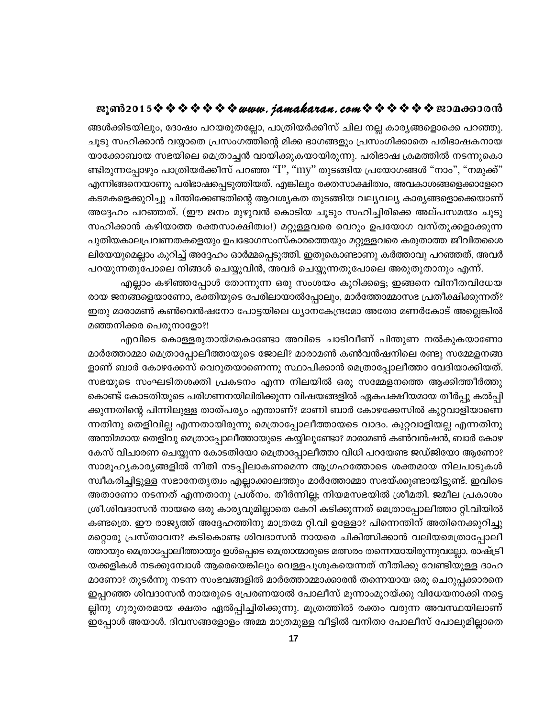ങ്ങൾക്കിടയിലും, ദോഷം പറയരുതല്ലോ, പാത്രിയർക്കീസ് ചില നല്ല കാര്യങ്ങളൊക്കെ പറഞ്ഞു. ചൂടു സഹിക്കാൻ വയ്യാതെ പ്രസംഗത്തിന്റെ മിക്ക ഭാഗങ്ങളും പ്രസംഗിക്കാതെ പരിഭാഷകനായ യാക്കോബായ സഭയിലെ മെത്രാച്ചൻ വായിക്കുകയായിരുന്നു. പരിഭാഷ ക്രമത്തിൽ നടന്നുകൊ ണ്ടിരുന്നപ്പോഴും പാത്രിയർക്കീസ് പറഞ്ഞ ''I'', ''my'' തുടങ്ങിയ പ്രയോഗങ്ങൾ "നാം", "നമുക്ക്" എന്നിങ്ങനെയാണു പരിഭാഷപ്പെടുത്തിയത്. എങ്കിലും രക്തസാക്ഷിത്വം, അവകാശങ്ങളെക്കാളേറെ കടമകളെക്കുറിച്ചു ചിന്തിക്കേണ്ടതിന്റെ ആവശ്യകത തുടങ്ങിയ വല്യവല്യ കാര്യങ്ങളൊക്കെയാണ് അദ്ദേഹം പറഞ്ഞത്. (ഈ ജനം മുഴുവൻ കൊടിയ ചൂടും സഹിച്ചിരിക്കെ അല്പസമയം ചൂടു സഹിക്കാൻ കഴിയാത്ത രക്തസാക്ഷിത്വം!) മറ്റുള്ളവരെ വെറും ഉപയോഗ വസ്തുക്കളാക്കുന്ന പുതിയകാലപ്രവണതകളെയും ഉപഭോഗസംസ്കാരത്തെയും മറ്റുള്ളവരെ കരുതാത്ത ജീവിതശൈ ലിയേയുമെല്ലാം കുറിച്ച് അദ്ദേഹം ഓർമ്മപ്പെടുത്തി. ഇതുകൊണ്ടാണു കർത്താവു പറഞ്ഞത്, അവർ പറയുന്നതുപോലെ നിങ്ങൾ ചെയ്യുവിൻ, അവർ ചെയ്യുന്നതുപോലെ അരുതുതാനും എന്ന്.

എല്ലാം കഴിഞ്ഞപ്പോൾ തോന്നുന്ന ഒരു സംശയം കുറിക്കട്ടെ; ഇങ്ങനെ വിനീതവിധേയ രായ ജനങ്ങളെയാണോ, ഭക്തിയുടെ പേരിലായാൽപ്പോലും, മാർത്തോമ്മാസഭ പ്രതീക്ഷിക്കുന്നത്? . ഇതു മാരാമൺ കൺവെൻഷനോ പോട്ടയിലെ ധ്യാനകേന്ദ്രമോ അതോ മണർകോട് അല്ലെങ്കിൽ മഞ്ഞനിക്കര പെരുനാളോ?!

എവിടെ കൊള്ളരുതായ്മകൊണ്ടോ അവിടെ ചാടിവീണ് പിന്തുണ നൽകുകയാണോ മാർത്തോമ്മാ മെത്രാപ്പോലീത്തായുടെ ജോലി? മാരാമൺ കൺവൻഷനിലെ രണ്ടു സമ്മേളനങ്ങ ളാണ് ബാർ കോഴക്കേസ് വെറുതയാണെന്നു സ്ഥാപിക്കാൻ മെത്രാപ്പോലീത്താ വേദിയാക്കിയത്. സഭയുടെ സംഘടിതശക്തി പ്രകടനം എന്ന നിലയിൽ ഒരു സമ്മേളനത്തെ ആക്കിത്തീർത്തു കൊണ്ട് കോടതിയുടെ പരിഗണനയിലിരിക്കുന്ന വിഷയങ്ങളിൽ ഏകപക്ഷീയമായ തീർപ്പു കൽപ്പി ക്കുന്നതിന്റെ പിന്നിലുള്ള താത്പര്യം എന്താണ്? മാണി ബാർ കോഴക്കേസിൽ കുറ്റവാളിയാണെ ന്നതിനു തെളിവില്ല എന്നതായിരുന്നു മെത്രാപ്പോലീത്തായടെ വാദം. കുറ്റവാളിയല്ല എന്നതിനു അന്തിമമായ തെളിവു മെത്രാപ്പോലീത്തായുടെ കയ്യിലുണ്ടോ? മാരാമൺ കൺവൻഷൻ, ബാർ കോഴ കേസ് വിചാരണ ചെയ്യുന്ന കോടതിയോ മെത്രാപ്പോലീത്താ വിധി പറയേണ്ട ജഡ്ജിയോ ആണോ? സാമൂഹ്യകാര്യങ്ങളിൽ നീതി നടപ്പിലാകണമെന്ന ആഗ്രഹത്തോടെ ശക്തമായ നിലപാടുകൾ ്സ്വീകരിച്ചിട്ടുള്ള സഭാനേതൃത്വം എല്ലാക്കാലത്തും മാർത്തോമ്മാ സഭയ്ക്കുണ്ടായിട്ടുണ്ട്. ഇവിടെ അതാണോ നടന്നത് എന്നതാനു പ്രശ്നം. തീർന്നില്ല; നിയമസഭയിൽ ശ്രീമതി. ജമീല പ്രകാശം ശ്രീ.ശിവദാസൻ നായരെ ഒരു കാര്യവുമില്ലാതെ കേറി കടിക്കുന്നത് മെത്രാപ്പോലീത്താ റ്റി.വിയിൽ കണ്ടത്രെ. ഈ രാജ്യത്ത് അദ്ദേഹത്തിനു മാത്രമേ റ്റി.വി ഉള്ളോ? പിന്നെന്തിന് അതിനെക്കുറിച്ചു മറ്റൊരു പ്രസ്താവന? കടികൊണ്ട ശിവദാസൻ നായരെ ചികിത്സിക്കാൻ വലിയമെത്രാപ്പോലീ ത്തായും മെത്രാപ്പോലീത്തായും ഉൾപ്പെടെ മെത്രാന്മാരുടെ മത്സരം തന്നെയായിരുന്നുവല്ലോ. രാഷ്ട്രീ യക്കളികൾ നടക്കുമ്പോൾ ആരെയെങ്കിലും വെള്ളപൂശുകയെന്നത് നീതിക്കു വേണ്ടിയുള്ള ദാഹ മാണോ? തുടർന്നു നടന്ന സംഭവങ്ങളിൽ മാർത്തോമ്മാക്കാരൻ തന്നെയായ ഒരു ചെറുപ്പക്കാരനെ ഇപ്പറഞ്ഞ ശിവദാസൻ നായരുടെ പ്രേരണയാൽ പോലീസ് മൂന്നാംമുറയ്ക്കു വിധേയനാക്കി നട്ടെ ല്ലിനു ഗുരുതരമായ ക്ഷതം ഏൽപ്പിച്ചിരിക്കുന്നു. മൂത്രത്തിൽ രക്തം വരുന്ന അവസ്ഥയിലാണ് . ഇപ്പോൾ അയാൾ. ദിവസങ്ങളോളം അമ്മ മാത്രമുള്ള വീട്ടിൽ വനിതാ പോലീസ് പോലുമില്ലാതെ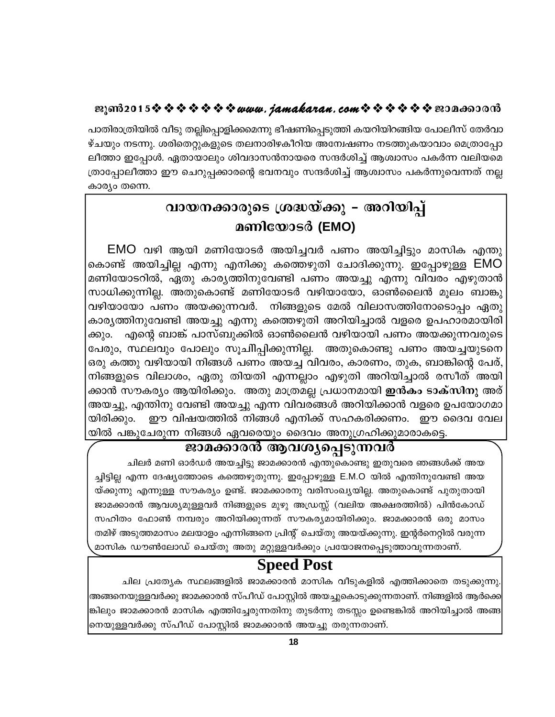പാതിരാത്രിയിൽ വീടു തല്ലിപ്പൊളിക്കമെന്നു ഭീഷണിപ്പെടുത്തി കയറിയിറങ്ങിയ പോലീസ് തേർവാ ഴ്ചയും നടന്നു. ശരിതെറ്റുകളുടെ തലനാരിഴകീറിയ അന്വേഷണം നടത്തുകയാവാം മെത്രാപ്പോ ലീത്താ ഇപ്പോൾ. ഏതായാലും ശിവദാസൻനായരെ സന്ദർശിച്ച് ആശ്വാസം പകർന്ന വലിയമെ ത്രാപ്പോലീത്താ ഈ ചെറുപ്പക്കാരന്റെ ഭവനവും സന്ദർശിച്ച് ആശ്വാസം പകർന്നുവെന്നത് നല്ല കാര്യം തന്നെ.

# വായനക്കാരുടെ ശ്രദ്ധയ്ക്കു – അറിയിപ്പ് മണിയോടർ (EMO)

EMO വഴി ആയി മണിയോടർ അയിച്ചവർ പണം അയിച്ചിട്ടും മാസിക എന്തു കൊണ്ട് അയിച്ചില്ല എന്നു എനിക്കു കത്തെഴുതി ചോദിക്കുന്നു. ഇപ്പോഴുള്ള EMO മണിയോടറിൽ, ഏതു കാര്യത്തിനുവേണ്ടി പണം അയച്ചു എന്നു വിവരം എഴുതാൻ സാധിക്കുന്നില്ല. അതുകൊണ്ട് മണിയോടർ വഴിയായോ, ഓൺലൈൻ മൂലം ബാങ്കു വഴിയായോ പണം അയക്കുന്നവർ. നിങ്ങളുടെ മേൽ വിലാസത്തിനോടൊപ്പം ഏതു കാര്യത്തിനുവേണ്ടി അയച്ചു എന്നു കത്തെഴുതി അറിയിച്ചാൽ വളരെ ഉപഹാരമായിരി <sup>്</sup> എന്റെ ബാങ്ക് പാസ്ബുക്കിൽ ഓൺലൈൻ വഴിയായി പണം അയക്കുന്നവരുടെ ക്കും. പേരും, സ്ഥലവും പോലും സൂചിിപ്പിക്കുന്നില്ല. അതുകൊണ്ടു പണം അയച്ചയുടനെ ഒരു കത്തു വഴിയായി നിങ്ങൾ പണം അയച്ച വിവരം, കാരണം, തുക, ബാങ്കിന്റെ പേര്, നിങ്ങളുടെ വിലാശം, ഏതു തിയതി എന്നല്ലാം എഴുതി അറിയിച്ചാൽ രസീത് അയി ക്കാൻ സൗകര്യം ആയിരിക്കും. അതു മാത്രമല്ല പ്രധാനമായി **ഇൻകം ടാക്സിനു** അര് അയച്ചു, എന്തിനു വേണ്ടി അയച്ചു എന്ന വിവരങ്ങൾ അറിയിക്കാൻ വളരെ ഉപയോഗമാ ഈ വിഷയത്തിൽ നിങ്ങൾ എനിക്ക് സഹകരിക്കണം. ഈ ദൈവ വേല യിരിക്കും. യിൽ പങ്കുചേരുന്ന നിങ്ങൾ ഏവരെയും ദൈവം അനുഗ്രഹിക്കുമാരാകട്ടെ.

# ജാമക്കാരൻ ആവശ്യപ്പെടുന്നവർ

ചിലർ മണി ഓർഡർ അയച്ചിട്ടു ജാമക്കാരൻ എന്തുകൊണ്ടു ഇതുവരെ ഞങ്ങൾക്ക് അയ ച്ചിട്ടില്ല എന്ന ദേഷ്യത്തോടെ കത്തെഴുതുന്നു. ഇപ്പോഴുള്ള E.M.O യിൽ എന്തിനുവേണ്ടി അയ യ്ക്കുന്നു എന്നുള്ള സൗകര്യം ഉണ്ട്. ജാമക്കാരനു വരിസംഖ്യയില്ല. അതുകൊണ്ട് പുതുതായി ജാമക്കാരൻ ആവശ്യമുള്ളവർ നിങ്ങളുടെ മുഴു അഡ്രസ്സ് (വലിയ അക്ഷരത്തിൽ) പിൻകോഡ് സഹിതം ഫോൺ നമ്പരും അറിയിക്കുന്നത് സൗകര്യമായിരിക്കും. ജാമക്കാരൻ ഒരു മാസം തമിഴ് അടുത്തമാസം മലയാളം എന്നിങ്ങനെ പ്രിന്റ് ചെയ്തു അയയ്ക്കുന്നു. ഇന്റർനെറ്റിൽ വരുന്ന മാസിക ഡൗൺലോഡ് ചെയ്തു അതു മറ്റുള്ളവർക്കും പ്രയോജനപ്പെടുത്താവുന്നതാണ്.

# **Speed Post**

ചില പ്രത്യേക സ്ഥലങ്ങളിൽ ജാമക്കാരൻ മാസിക വീടുകളിൽ എത്തിക്കാതെ തടുക്കുന്നു. അങ്ങനെയുള്ളവർക്കു ജാമക്കാരൻ സ്പീഡ് പോസ്റ്റിൽ അയച്ചുകൊടുക്കുന്നതാണ്. നിങ്ങളിൽ ആർക്കെ ങ്കിലും ജാമക്കാരൻ മാസിക എത്തിച്ചേരുന്നതിനു തുടർന്നു തടസ്സം ഉണ്ടെങ്കിൽ അറിയിച്ചാൽ അങ്ങ നെയുള്ളവർക്കു സ്പീഡ് പോസ്റ്റിൽ ജാമക്കാരൻ അയച്ചു തരുന്നതാണ്.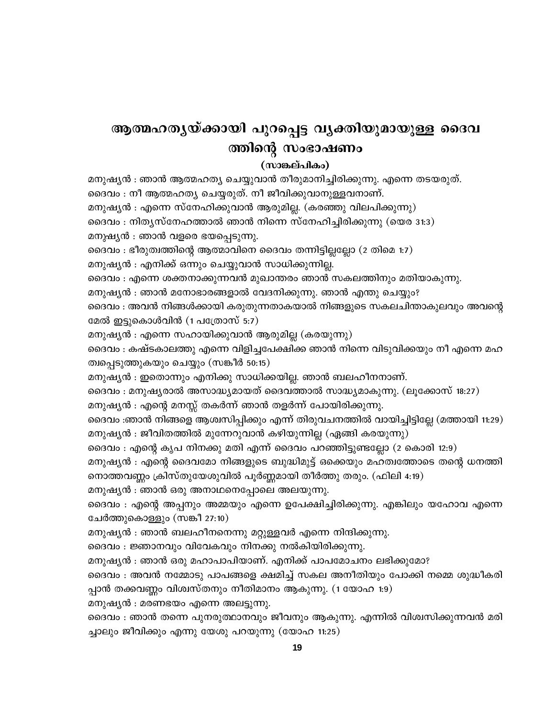# ആത്മഹതൃയ്ക്കായി പുറപ്പെട്ട വൃക്തിയുമായുള്ള ദൈവ ത്തിന്റെ സംഭാഷണം

#### (സാങ്കല്പികം)

മനുഷ്യൻ : ഞാൻ ആത്മഹത്യ ചെയ്യുവാൻ തീരുമാനിച്ചിരിക്കുന്നു. എന്നെ തടയരുത്. ദൈവം : നീ ആത്മഹത്യ ചെയ്യരുത്. നീ ജീവിക്കുവാനുള്ളവനാണ്. മനുഷ്യൻ : എന്നെ സ്നേഹിക്കുവാൻ ആരുമില്ല. (കരഞ്ഞു വിലപിക്കുന്നു) ദൈവം : നിതൃസ്നേഹത്താൽ ഞാൻ നിന്നെ സ്നേഹിച്ചിരിക്കുന്നു (യെര 31:3) മനുഷ്യൻ : ഞാൻ വളരെ ഭയപ്പെടുന്നു. ദൈവം : ഭീരുത്വത്തിന്റെ ആത്മാവിനെ ദൈവം തന്നിട്ടില്ലല്ലോ (2 തിമെ 1:7) മനുഷ്യൻ : എനിക്ക് ഒന്നും ചെയ്യുവാൻ സാധിക്കുന്നില്ല. ദൈവം : എന്നെ ശക്തനാക്കുന്നവൻ മുഖാന്തരം ഞാൻ സകലത്തിനും മതിയാകുന്നു. മനുഷ്യൻ : ഞാൻ മനോഭാരങ്ങളാൽ വേദനിക്കുന്നു. ഞാൻ എന്തു ചെയ്യും? ദൈവം : അവൻ നിങ്ങൾക്കായി കരുതുന്നതാകയാൽ നിങ്ങളുടെ സകലചിന്താകുലവും അവന്റെ മേൽ ഇട്ടുകൊൾവിൻ (1 പത്രോസ് 5:7) മനുഷ്യൻ : എന്നെ സഹായിക്കുവാൻ ആരുമില്ല (കരയുന്നു) ദൈവം : കഷ്ടകാലത്തു എന്നെ വിളിച്ചപേക്ഷിക്ക ഞാൻ നിന്നെ വിടുവിക്കയും നീ എന്നെ മഹ ത്വപ്പെടുത്തുകയും ചെയ്യും (സങ്കീർ 50:15) മനുഷ്യൻ : ഇതൊന്നും എനിക്കു സാധിക്കയില്ല. ഞാൻ ബലഹീനനാണ്. ദൈവം : മനുഷ്യരാൽ അസാദ്ധ്യമായത് ദൈവത്താൽ സാദ്ധ്യമാകുന്നു. (ലൂക്കോസ് 18:27) മനുഷ്യൻ : എന്റെ മനസ്സ് തകർന്ന് ഞാൻ തളർന്ന് പോയിരിക്കുന്നു. ദൈവം :ഞാൻ നിങ്ങളെ ആശ്വസിപ്പിക്കും എന്ന് തിരുവചനത്തിൽ വായിച്ചിട്ടില്ലേ (മത്തായി 11:29) മനുഷ്യൻ : ജീവിതത്തിൽ മുന്നേറുവാൻ കഴിയുന്നില്ല (ഏങ്ങി കരയുന്നു) ദൈവം : എന്റെ കൃപ നിനക്കു മതി എന്ന് ദൈവം പറഞ്ഞിട്ടുണ്ടല്ലോ (2 കൊരി 12:9) മനുഷ്യൻ : എന്റെ ദൈവമോ നിങ്ങളുടെ ബുദ്ധിമുട്ട് ഒക്കെയും മഹത്വത്തോടെ തന്റെ ധനത്തി നൊത്തവണ്ണം ക്രിസ്തുയേശുവിൽ പൂർണ്ണമായി തീർത്തു തരും. (ഫിലി 4:19) മനുഷ്യൻ : ഞാൻ ഒരു അനാഥനെപ്പോലെ അലയുന്നു. ദൈവം : എന്റെ അപ്പനും അമ്മയും എന്നെ ഉപേക്ഷിച്ചിരിക്കുന്നു. എങ്കിലും യഹോവ എന്നെ ചേർത്തുകൊള്ളും (സങ്കീ 27:10) മനുഷ്യൻ : ഞാൻ ബലഹീനനെന്നു മറ്റുള്ളവർ എന്നെ നിന്ദിക്കുന്നു. ദൈവം : ജ്ഞാനവും വിവേകവും നിനക്കു നൽകിയിരിക്കുന്നു. മനുഷ്യൻ : ഞാൻ ഒരു മഹാപാപിയാണ്. എനിക്ക് പാപമോചനം ലഭിക്കുമോ? ദൈവം : അവൻ നമ്മോടു പാപങ്ങളെ ക്ഷമിച്ച് സകല അനീതിയും പോക്കി നമ്മെ ശുദ്ധീകരി പ്പാൻ തക്കവണ്ണം വിശ്വസ്തനും നീതിമാനം ആകുന്നു. (1 യോഹ 1:9) മനുഷ്യൻ : മരണഭയം എന്നെ അലട്ടുന്നു. ദൈവം : ഞാൻ തന്നെ പുനരുത്ഥാനവും ജീവനും ആകുന്നു. എന്നിൽ വിശ്വസിക്കുന്നവൻ മരി

ച്ചാലും ജീവിക്കും എന്നു യേശു പറയുന്നു (യോഹ 11:25)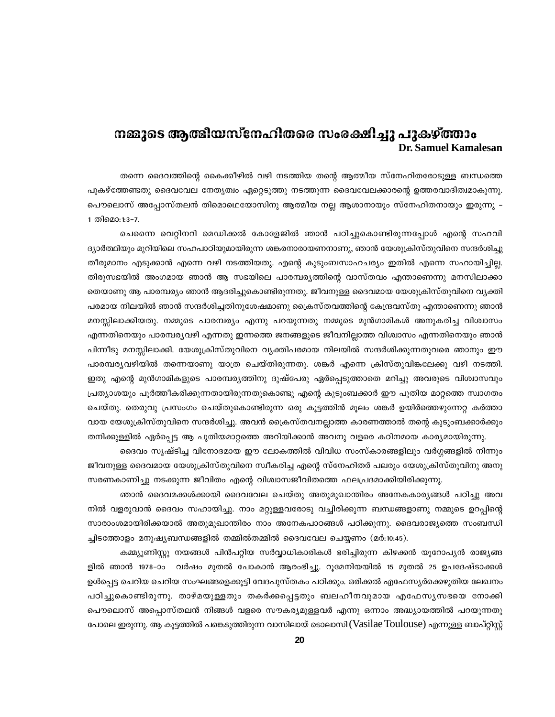# നങ്കുടെ ആത്മിയസ്നേഹിതരെ സംരക്ഷിച്ചു പുകഴ്ത്താം **Dr. Samuel Kamalesan**

തന്നെ ദൈവത്തിന്റെ കൈക്കീഴിൽ വഴി നടത്തിയ തന്റെ ആത്മീയ സ്നേഹിതരോടുള്ള ബന്ധത്തെ പുകഴ്ത്തേണ്ടതു ദൈവവേല നേതൃത്വം ഏറ്റെടുത്തു നടത്തുന്ന ദൈവവേലക്കാരന്റെ ഉത്തരവാദിത്വമാകുന്നു. പൌലൊസ് അപ്പോസ്തലൻ തിമൊഥെയോസിനു ആത്മീയ നല്ല ആശാനായും സ്നേഹിതനായും ഇരുന്നു – 1 തിമൊ:1:3-7.

ചെന്നൈ വെറ്റിനറി മെഡിക്കൽ കോളേജിൽ ഞാൻ പഠിച്ചുകൊണ്ടിരുന്നപ്പോൾ എന്റെ സഹവി ദ്യാർത്ഥിയും മുറിയിലെ സഹപാഠിയുമായിരുന്ന ശങ്കരനാരായണനാണു, ഞാൻ യേശുക്രിസ്തുവിനെ സന്ദർശിച്ചു തീരുമാനം എടുക്കാൻ എന്നെ വഴി നടത്തിയതു. എന്റെ കുടുംബസാഹചര്യം ഇതിൽ എന്നെ സഹായിച്ചില്ല. തിരുസഭയിൽ അംഗമായ ഞാൻ ആ സഭയിലെ പാരമ്പര്യത്തിന്റെ വാസ്തവം എന്താണെന്നു മനസിലാക്കാ തെയാണു ആ പാരമ്പര്യം ഞാൻ ആദരിച്ചുകൊണ്ടിരുന്നതു. ജീവനുള്ള ദൈവമായ യേശുക്രിസ്തുവിനെ വ്യക്തി പരമായ നിലയിൽ ഞാൻ സന്ദർശിച്ചതിനുശേഷമാണു ക്രൈസ്തവത്തിന്റെ കേന്ദ്രവസ്തു എന്താണെന്നു ഞാൻ മനസ്സിലാക്കിയതു. നമ്മുടെ പാരമ്പര്യം എന്നു പറയുന്നതു നമ്മുടെ മുൻഗാമികൾ അനുകരിച്ച വിശ്വാസം എന്നതിനെയും പാരമ്പര്യവഴി എന്നതു ഇന്നത്തെ ജനങ്ങളുടെ ജീവനില്ലാത്ത വിശ്വാസം എന്നതിനെയും ഞാൻ പിന്നീടു മനസ്സിലാക്കി. യേശുക്രിസ്തുവിനെ വ്യക്തിപരമായ നിലയിൽ സന്ദർശിക്കുന്നതുവരെ ഞാനും ഈ പാരമ്പര്യവഴിയിൽ തന്നെയാണു യാത്ര ചെയ്തിരുന്നതു. ശങ്കർ എന്നെ ക്രിസ്തുവിങ്കലേക്കു വഴി നടത്തി. ഇതു എന്റെ മുൻഗാമികളുടെ പാരമ്പര്യത്തിനു ദുഷ്പേരു ഏർപ്പെടുത്താതെ മറിച്ചു അവരുടെ വിശ്വാസവും പ്രത്യാശയും പൂർത്തീകരിക്കുന്നതായിരുന്നതുകൊണ്ടു എന്റെ കുടുംബക്കാർ ഈ പുതിയ മാറ്റത്തെ സ്വാഗതം ചെയ്തു. തെരുവു പ്രസംഗം ചെയ്തുകൊണ്ടിരുന്ന ഒരു കൂട്ടത്തിൻ മൂലം ശങ്കർ ഉയിർത്തെഴുന്നേറ്റ കർത്താ വായ യേശുക്രിസ്തുവിനെ സന്ദർശിച്ചു. അവൻ ക്രൈസ്തവനല്ലാത്ത കാരണത്താൽ തന്റെ കുടുംബക്കാർക്കും തനിക്കുള്ളിൽ ഏർപ്പെട്ട ആ പുതിയമാറ്റത്തെ അറിയിക്കാൻ അവനു വളരെ കഠിനമായ കാര്യമായിരുന്നു.

ദൈവം സൃഷ്ടിച്ച വിനോദമായ ഈ ലോകത്തിൽ വിവിധ സംസ്കാരങ്ങളിലും വർഗ്ഗങ്ങളിൽ നിന്നും ജീവനുള്ള ദൈവമായ യേശുക്രിസ്തുവിനെ സ്വീകരിച്ച എന്റെ സ്നേഹിതർ പലരും യേശുക്രിസ്തുവിനു അനു സരണകാണിച്ചു നടക്കുന്ന ജീവിതം എന്റെ വിശ്വാസജീവിതത്തെ ഫലപ്രദമാക്കിയിരിക്കുന്നു.

ഞാൻ ദൈവമക്കൾക്കായി ദൈവവേല ചെയ്തു അതുമുഖാന്തിരം അനേകകാര്യങ്ങൾ പഠിച്ചു അവ നിൽ വളരുവാൻ ദൈവം സഹായിച്ചു. നാം മറ്റുള്ളവരോടു വച്ചിരിക്കുന്ന ബന്ധങ്ങളാണു നമ്മുടെ ഉറപ്പിന്റെ സാരാംശമായിരിക്കയാൽ അതുമുഖാന്തിരം നാം അനേകപാഠങ്ങൾ പഠിക്കുന്നു. ദൈവരാജ്യത്തെ സംബന്ധി ച്ചിടത്തോളം മനുഷ്യബന്ധങ്ങളിൽ തമ്മിൽതമ്മിൽ ദൈവവേല ചെയ്യണം (മർ:10:45).

കമ്മ്യൂണിസ്റ്റു നയങ്ങൾ പിൻപറ്റിയ സർവ്വാധികാരികൾ ഭരിച്ചിരുന്ന കിഴക്കൻ യൂറോപ്യൻ രാജ്യങ്ങ ളിൽ ഞാൻ 1978-ാം വർഷം മുതൽ പോകാൻ ആരംഭിച്ചു. റൂമേനിയയിൽ 15 മുതൽ 25 ഉപദേഷ്ടാക്കൾ ഉൾപ്പെട്ട ചെറിയ ചെറിയ സംഘങ്ങളെക്കൂട്ടി വേദപുസ്തകം പഠിക്കും. ഒരിക്കൽ എഫേസ്യർക്കെഴുതിയ ലേഖനം പഠിച്ചുകൊണ്ടിരുന്നു. താഴ്മയുള്ളതും തകർക്കപ്പെട്ടതും ബലഹീനവുമായ എഫേസ്യസഭയെ നോക്കി പൌലൊസ് അപ്പൊസ്തലൻ നിങ്ങൾ വളരെ സൗകര്യമുള്ളവർ എന്നു ഒന്നാം അദ്ധ്യായത്തിൽ പറയുന്നതു പോലെ ഇരുന്നു. ആ കുട്ടത്തിൽ പങ്കെടുത്തിരുന്ന വാസിലായ് ടൊലാസി (Vasilae Toulouse) എന്നുള്ള ബാപ്റ്റിസ്റ്റ്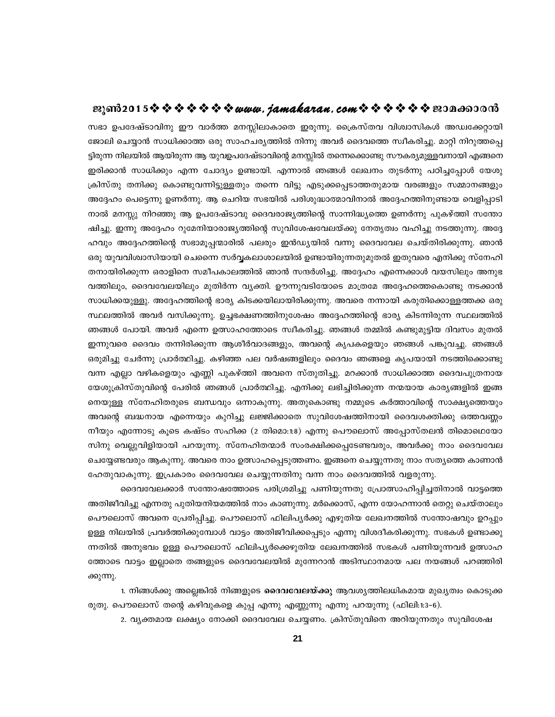സഭാ ഉപദേഷ്ടാവിനു ഈ വാർത്ത മനസ്സിലാകാതെ ഇരുന്നു. ക്രൈസ്തവ വിശ്വാസികൾ അഡ്വക്കേറ്റായി ജോലി ചെയ്യാൻ സാധിക്കാത്ത ഒരു സാഹചര്യത്തിൽ നിന്നു അവർ ദൈവത്തെ സ്വീകരിച്ചു. മാറ്റി നിറുത്തപ്പെ ട്ടിരുന്ന നിലയിൽ ആയിരുന്ന ആ യുവഉപദേഷ്ടാവിന്റെ മനസ്സിൽ തന്നെക്കൊണ്ടു സൗകര്യമുള്ളവനായി എങ്ങനെ ഇരിക്കാൻ സാധിക്കും എന്ന ചോദ്യം ഉണ്ടായി. എന്നാൽ ഞങ്ങൾ ലേഖനം തുടർന്നു പഠിച്ചപ്പോൾ യേശു ക്രിസ്തു തനിക്കു കൊണ്ടുവന്നിട്ടുള്ളതും തന്നെ വിട്ടു എടുക്കപ്പെടാത്തതുമായ വരങ്ങളും സമ്മാനങ്ങളും അദ്ദേഹം പെട്ടെന്നു ഉണർന്നു. ആ ചെറിയ സഭയിൽ പരിശുദ്ധാത്മാവിനാൽ അദ്ദേഹത്തിനുണ്ടായ വെളിപ്പാടി നാൽ മനസ്സു നിറഞ്ഞു ആ ഉപദേഷ്ടാവു ദൈവരാജ്യത്തിന്റെ സാന്നിദ്ധ്യത്തെ ഉണർന്നു പുകഴ്ത്തി സന്തോ ഷിച്ചു. ഇന്നു അദ്ദേഹം റുമേനിയാരാജ്യത്തിന്റെ സുവിശേഷവേലയ്ക്കു നേതൃത്വം വഹിച്ചു നടത്തുന്നു. അദ്ദേ ഹവും അദ്ദേഹത്തിന്റെ സഭാമൂപ്പന്മാരിൽ പലരും ഇൻഡ്യയിൽ വന്നു ദൈവവേല ചെയ്തിരിക്കുന്നു. ഞാൻ ഒരു യുവവിശ്വാസിയായി ചെന്നൈ സർവ്വകലാശാലയിൽ ഉണ്ടായിരുന്നതുമുതൽ ഇതുവരെ എനിക്കു സ്നേഹി തനായിരിക്കുന്ന ഒരാളിനെ സമീപകാലത്തിൽ ഞാൻ സന്ദർശിച്ചു. അദ്ദേഹം എന്നെക്കാൾ വയസിലും അനുഭ വത്തിലും, ദൈവവേലയിലും മുതിർന്ന വ്യക്തി. ഊന്നുവടിയോടെ മാത്രമേ അദ്ദേഹത്തെകൊണ്ടു നടക്കാൻ സാധിക്കയുള്ളു. അദ്ദേഹത്തിന്റെ ഭാര്യ കിടക്കയിലായിരിക്കുന്നു. അവരെ നന്നായി കരുതിക്കൊള്ളത്തക്ക ഒരു സ്ഥലത്തിൽ അവർ വസിക്കുന്നു. ഉച്ചഭക്ഷണത്തിനുശേഷം അദ്ദേഹത്തിന്റെ ഭാര്യ കിടന്നിരുന്ന സ്ഥലത്തിൽ -ഞങ്ങൾ പോയി. അവർ എന്നെ ഉത്സാഹത്തോടെ സ്വീകരിച്ചു. ഞങ്ങൾ തമ്മിൽ കണ്ടുമുട്ടിയ ദിവസം മുതൽ . ഇന്നുവരെ ദൈവം തന്നിരിക്കുന്ന ആശീർവാദങ്ങളും, അവന്റെ കൃപകളെയും ഞങ്ങൾ പങ്കുവച്ചു. ഞങ്ങൾ ഒരുമിച്ചു ചേർന്നു പ്രാർത്ഥിച്ചു. കഴിഞ്ഞ പല വർഷങ്ങളിലും ദൈവം ഞങ്ങളെ കൃപയായി നടത്തിക്കൊണ്ടു വന്ന എല്ലാ വഴികളെയും എണ്ണി പുകഴ്ത്തി അവനെ സ്തുതിച്ചു. മറക്കാൻ സാധിക്കാത്ത ദൈവപുത്രനായ യേശുക്രിസ്തുവിന്റെ പേരിൽ ഞങ്ങൾ പ്രാർത്ഥിച്ചു. എനിക്കു ലഭിച്ചിരിക്കുന്ന നന്മയായ കാര്യങ്ങളിൽ ഇങ്ങ നെയുള്ള സ്നേഹിതരുടെ ബന്ധവും ഒന്നാകുന്നു. അതുകൊണ്ടു നമ്മുടെ കർത്താവിന്റെ സാക്ഷ്യത്തെയും അവന്റെ ബദ്ധനായ എന്നെയും കുറിച്ചു ലജ്ജിക്കാതെ സുവിശേഷത്തിനായി ദൈവശക്തിക്കു ഒത്തവണ്ണം . നീയും എന്നോടു കൂടെ കഷ്ടം സഹിക്ക (2 തിമൊ:1:8) എന്നു പൌലൊസ് അപ്പോസ്തലൻ തിമൊഥെയോ ്സിനു വെല്ലുവിളിയായി പറയുന്നു. സ്നേഹിതന്മാർ സംരക്ഷിക്കപ്പെടേണ്ടവരും, അവർക്കു നാം ദൈവവേല ചെയ്യേണ്ടവരും ആകുന്നു. അവരെ നാം ഉത്സാഹപ്പെടുത്തണം. ഇങ്ങനെ ചെയ്യുന്നതു നാം സത്യത്തെ കാണാൻ ഹേതുവാകുന്നു. ഇപ്രകാരം ദൈവവേല ചെയ്യുന്നതിനു വന്ന നാം ദൈവത്തിൽ വളരുന്നു.

ദൈവവേലക്കാർ സന്തോഷത്തോടെ പരിശ്രമിച്ചു പണിയുന്നതു പ്രോത്സാഹിപ്പിച്ചതിനാൽ വാട്ടത്തെ .അതിജീവിച്ചു എന്നതു പുതിയനിയമത്തിൽ നാം കാണുന്നു. മർക്കൊസ്, എന്ന യോഹന്നാൻ തെറ്റു ചെയ്താലും പൌലൊസ് അവനെ പ്രേരിപ്പിച്ചു. പൌലൊസ് ഫിലിപൃർക്കു എഴുതിയ ലേഖനത്തിൽ സന്തോഷവും ഉറപ്പും ഉള്ള നിലയിൽ പ്രവർത്തിക്കുമ്പോൾ വാട്ടം അതിജീവിക്കപ്പെടും എന്നു വിശദീകരിക്കുന്നു. സഭകൾ ഉണ്ടാക്കു ന്നതിൽ അനുഭവം ഉള്ള പൌലൊസ് ഫിലിപൃർക്കെഴുതിയ ലേഖനത്തിൽ സഭകൾ പണിയുന്നവർ ഉത്സാഹ ത്തോടെ വാട്ടം ഇല്ലാതെ തങ്ങളുടെ ദൈവവേലയിൽ മുന്നേറാൻ അടിസ്ഥാനമായ പല നയങ്ങൾ പറഞ്ഞിരി ക്കുന്നു.

1. നിങ്ങൾക്കു അല്ലെങ്കിൽ നിങ്ങളുടെ **ദൈവവേലയ്ക്കു** ആവശ്യത്തിലധികമായ മുഖ്യത്വം കൊടുക്ക രുതു. പൌലൊസ് തന്റെ കഴിവുകളെ കുപ്പ എന്നു എണ്ണുന്നു എന്നു പറയുന്നു (ഫിലി:1:3-6).

2. വ്യക്തമായ ലക്ഷ്യം നോക്കി ദൈവവേല ചെയ്യണം. ക്രിസ്തുവിനെ അറിയുന്നതും സുവിശേഷ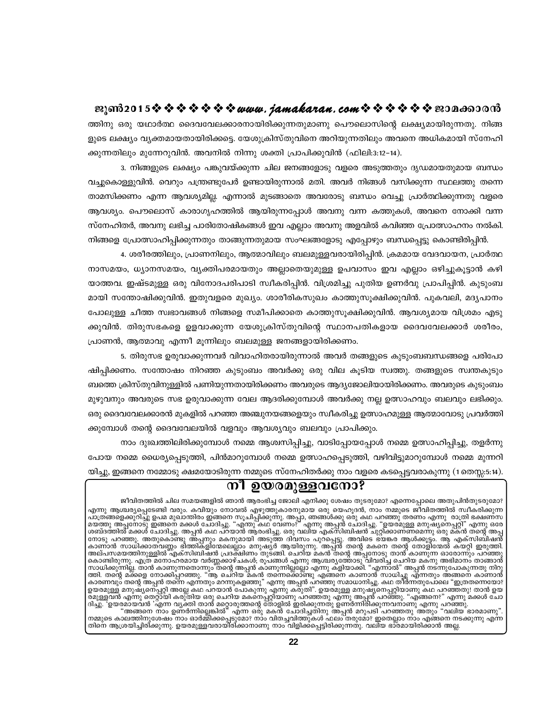ജീവിതത്തിൽ ചില സമയങ്ങളിൽ ഞാൻ ആരംഭിച്ച ജോലി എനിക്കു ശേഷം തുടരുമോ? എന്നെപ്പോലെ അതുപിൻതുടരുമോ? എന്നു ആശ്ചര്യപ്പെടേണ്ടി വരും. കവിയും നോവൽ എഴുത്തുകാരനുമായ ഒരു യെഹൂദൻ, നാം നമ്മുടെ ജീവിതത്തിൽ സ്വീകരിക്കുന്ന എന്നു ആശ്ചര്യപ്പെടേണ്ടി വരും. കവിയും നോവൽ എഴുത്തുകാരനുമായ ഒരു യെഹൂദര, നാം നമ്മുടെ ജമ്പത്തിയ സ്വകരിക്കുന്ന<br>മാത്രങ്ങളെക്കുറിച്ചു ഉപമ മുഖാന്തിരം ഇങ്ങനെ സൂചിപ്പിക്കുന്നു. അപ്പാ, ഞങ്ങൾക്കു ഒരു കഥ പറഞ്ഞു തരന്നം എന്നു രാത്ര<br>മയത് അല്പസമയത്തിനുള്ളിൽ എക്സിബിഷൻ പ്രദക്ഷിണം തുടങ്ങി. ചെറിയ മകൻ തന്റെ അപ്പനോടു താൻ കാണുന്ന ഓരോന്നും പറഞ്ഞു<br>കൊണ്ടിരുന്നു. എത്ര മനോഹരമായ വർണ്ണക്കാഴ്ചകൾ, രൂപങ്ങൾ എന്നു ആശ്ചര്യത്തോടു വിവരിച്ച ചെറിയ മകനു അഭിമാനം താങ്ങാൻ<br>സാധിക്കുന്ന

# നീ ഉയരമുള്ളവനോ?

പോയ നമ്മെ ധൈര്യപ്പെടുത്തി, പിൻമാറുമ്പോൾ നമ്മെ ഉത്സാഹപ്പെടുത്തി, വഴിവിട്ടുമാറുമ്പോൾ നമ്മെ മുന്നറി യിച്ചു, ഇങ്ങനെ നമ്മോടു ക്ഷമയോടിരുന്ന നമ്മുടെ സ്നേഹിതർക്കു നാം വളരെ കടപ്പെട്ടവരാകുന്നു (1തെസ്സ:5:14).

മുഴുവനും അവരുടെ സഭ ഉരുവാക്കുന്ന വേല ആദരിക്കുമ്പോൾ അവർക്കു നല്ല ഉത്സാഹവും ബലവും ലഭിക്കും. ഒരു ദൈവവേലക്കാരൻ മുകളിൽ പറഞ്ഞ അഞ്ചുനയങ്ങളെയും സ്വീകരിച്ചു ഉത്സാഹമുള്ള ആത്മാവോടു പ്രവർത്തി ക്കുമ്പോൾ തന്റെ ദൈവവേലയിൽ വളവും ആവശ്യവും ബലവും പ്രാപിക്കും. നാം ദുഃഖത്തിലിരിക്കുമ്പോൾ നമ്മെ ആശ്വസിപ്പിച്ചു, വാടിപ്പോയപ്പോൾ നമ്മെ ഉത്സാഹിപ്പിച്ചു, തളർന്നു

ക്കുവിൻ. തിരുസഭകളെ ഉളവാക്കുന്ന യേശുക്രിസ്തുവിന്റെ സ്ഥാനപതികളായ ദൈവവേലക്കാർ ശരീരം, പ്രാണൻ, ആത്മാവു എന്നീ മൂന്നിലും ബലമുള്ള ജനങ്ങളായിരിക്കണം. 5. തിരുസഭ ഉരുവാക്കുന്നവർ വിവാഹിതരായിരുന്നാൽ അവർ തങ്ങളുടെ കുടുംബബന്ധങ്ങളെ പരിപോ ഷിപിക്കണം. സന്തോഷം നിറഞ്ഞ കുടുംബം അവർക്കു ഒരു വില കുടിയ സ്വത്തു. തങ്ങളുടെ സ്വന്തകുടും ബത്തെ ക്രിസ്തുവിനുള്ളിൽ പണിയുന്നതായിരിക്കണം അവരുടെ ആദ്യജോലിയായിരിക്കണം. അവരുടെ കുടുംബം

3. നിങ്ങളുടെ ലക്ഷ്യം പങ്കുവയ്ക്കുന്ന ചില ജനങ്ങളോടു വളരെ അടുത്തതും ദൃഡമായതുമായ ബന്ധം വച്ചുകൊള്ളുവിൻ. വെറും പന്ത്രണ്ടുപേർ ഉണ്ടായിരുന്നാൽ മതി. അവർ നിങ്ങൾ വസിക്കുന്ന സ്ഥലത്തു തന്നെ താമസിക്കണം എന്ന ആവശ്യമില്ല. എന്നാൽ മുടങ്ങാതെ അവരോടു ബന്ധം വെച്ചു പ്രാർത്ഥിക്കുന്നതു വളരെ ആവശ്യം. പൌലൊസ് കാരാഗൃഹത്തിൽ ആയിരുന്നപ്പോൾ അവനു വന്ന കത്തുകൾ, അവനെ നോക്കി വന്ന സ്നേഹിതർ, അവനു ലഭിച്ച പാരിതോഷികങ്ങൾ ഇവ എല്ലാം അവനു അളവിൽ കവിഞ്ഞ പ്രോത്സാഹനം നൽകി. നിങ്ങളെ പ്രോത്സാഹിപ്പിക്കുന്നതും താങ്ങുന്നതുമായ സംഘങ്ങളോടു എപ്പോഴും ബന്ധപ്പെട്ടു കൊണ്ടിരിപ്പിൻ.

നാസമയം, ധ്യാനസമയം, വൃക്തിപരമായതും അല്ലാതെയുമുള്ള ഉപവാസം ഇവ എല്ലാം ഒഴിച്ചുകൂട്ടാൻ കഴി യാത്തവ. ഇഷ്ടമുള്ള ഒരു വിനോദപരിപാടി സ്വീകരിപ്പിൻ. വിശ്രമിച്ചു പുതിയ ഉണർവു പ്രാപിപ്പിൻ. കുടുംബ മായി സന്തോഷിക്കുവിൻ. ഇതുവളരെ മുഖ്യം. ശാരീരികസുഖം കാത്തുസൂക്ഷിക്കുവിൻ. പുകവലി, മദ്യപാനം പോലുള്ള ചീത്ത സ്വഭാവങ്ങൾ നിങ്ങളെ സമീപിക്കാതെ കാത്തുസൂക്ഷിക്കുവിൻ. ആവശ്യമായ വിശ്രമം എടു

4. ശരീരത്തിലും, പ്രാണനിലും, ആത്മാവിലും ബലമുള്ളവരായിരിപ്പിൻ. ക്രമമായ വേദവായന, പ്രാർത്ഥ

ത്തിനു ഒരു യഥാർത്ഥ ദൈവവേലക്കാരനായിരിക്കുന്നതുമാണു പൌലൊസിന്റെ ലക്ഷ്യമായിരുന്നതു. നിങ്ങ ളുടെ ലക്ഷ്യം വ്യക്തമായതായിരിക്കട്ടെ. യേശുക്രിസ്തുവിനെ അറിയുന്നതിലും അവനെ അധികമായി സ്നേഹി ക്കുന്നതിലും മുന്നേറുവിൻ. അവനിൽ നിന്നു ശക്തി പ്രാപിക്കുവിൻ (ഫിലി:3:12-14).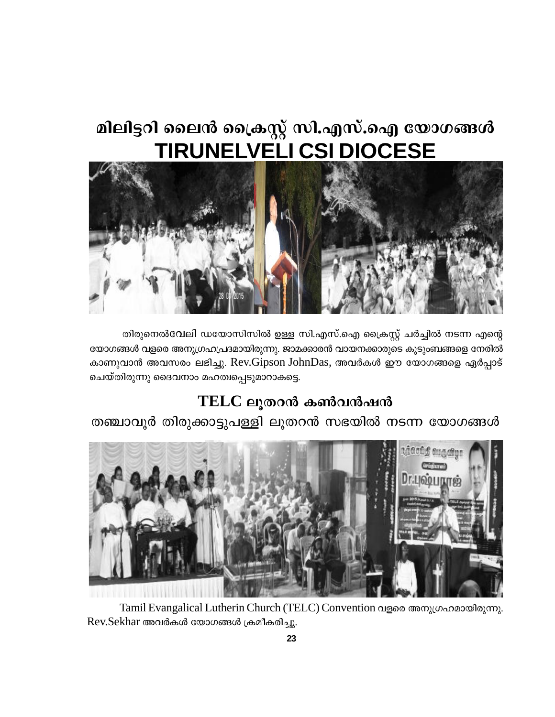# മിലിട്ടറി ലൈൻ ക്രൈസ്റ്റ് സി.എസ്.ഐ യോഗങ്ങൾ **TIRUNELVELI CSI DIOCESE**



തിരുനെൽവേലി ഡയോസിസിൽ ഉള്ള സി.എസ്.ഐ ക്രൈസ്റ്റ് ചർച്ചിൽ നടന്ന എന്റെ യോഗങ്ങൾ വളരെ അനുഗ്രഹപ്രദമായിരുന്നു. ജാമക്കാരൻ വായനക്കാരുടെ കൂടുംബങ്ങളെ നേരിൽ കാണുവാൻ അവസരം ലഭിച്ചു. Rev.Gipson JohnDas, അവർകൾ ഈ യോഗങ്ങളെ ഏർപ്പാട് ചെയ്തിരുന്നു ദൈവനാം മഹത്വപ്പെടുമാറാകട്ടെ.

# $TELC$  ലുതറൻ കൺവൻഷൻ

തഞ്ചാവൂർ തിരുക്കാട്ടുപള്ളി ലൂതറൻ സഭയിൽ നടന്ന യോഗങ്ങൾ



Tamil Evangalical Lutherin Church (TELC) Convention വളരെ അനുഗ്രഹമായിരുന്നു. Rev.Sekhar അവർകൾ യോഗങ്ങൾ ക്രമീകരിച്ചു.